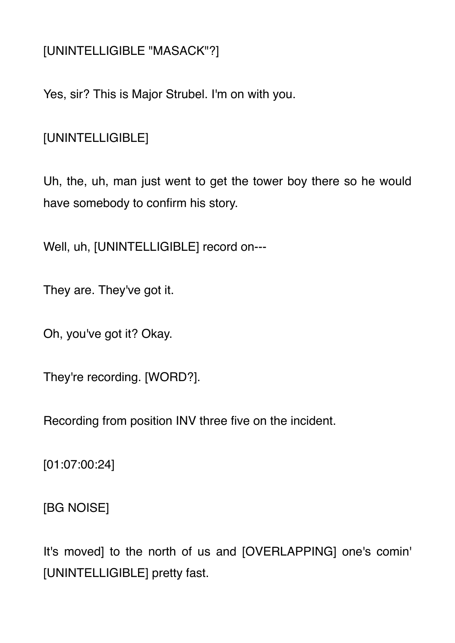## [UNINTELLIGIBLE "MASACK"?]

Yes, sir? This is Major Strubel. I'm on with you.

[UNINTELLIGIBLE]

Uh, the, uh, man just went to get the tower boy there so he would have somebody to confirm his story.

Well, uh, [UNINTELLIGIBLE] record on---

They are. They've got it.

Oh, you've got it? Okay.

They're recording. [WORD?].

Recording from position INV three five on the incident.

[01:07:00:24]

[BG NOISE]

It's moved] to the north of us and [OVERLAPPING] one's comin' [UNINTELLIGIBLE] pretty fast.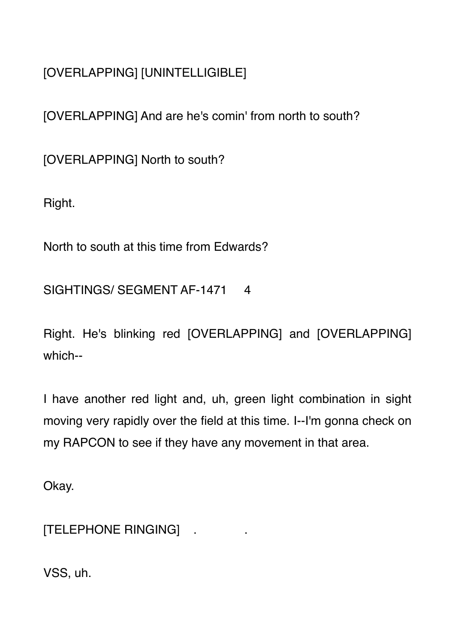[OVERLAPPING] [UNINTELLIGIBLE]

[OVERLAPPING] And are he's comin' from north to south?

[OVERLAPPING] North to south?

Right.

North to south at this time from Edwards?

SIGHTINGS/ SEGMENT AF-1471 4

Right. He's blinking red [OVERLAPPING] and [OVERLAPPING] which--

I have another red light and, uh, green light combination in sight moving very rapidly over the field at this time. I--I'm gonna check on my RAPCON to see if they have any movement in that area.

Okay.

[TELEPHONE RINGING] .

VSS, uh.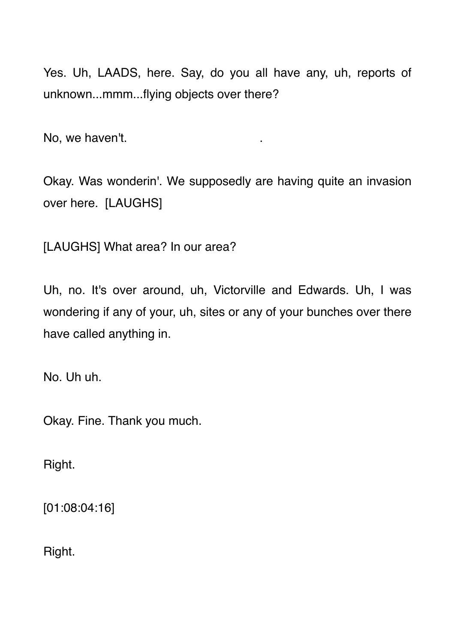Yes. Uh, LAADS, here. Say, do you all have any, uh, reports of unknown...mmm...flying objects over there?

No, we haven't.

Okay. Was wonderin'. We supposedly are having quite an invasion over here. [LAUGHS]

[LAUGHS] What area? In our area?

Uh, no. It's over around, uh, Victorville and Edwards. Uh, I was wondering if any of your, uh, sites or any of your bunches over there have called anything in.

No. Uh uh.

Okay. Fine. Thank you much.

Right.

[01:08:04:16]

Right.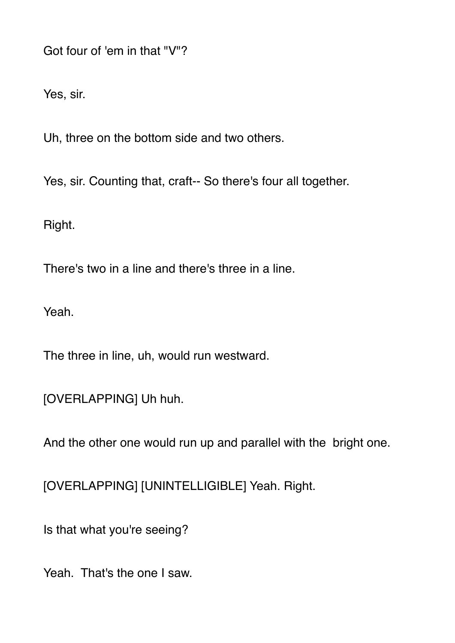Got four of 'em in that "V"?

Yes, sir.

Uh, three on the bottom side and two others.

Yes, sir. Counting that, craft-- So there's four all together.

Right.

There's two in a line and there's three in a line.

Yeah.

The three in line, uh, would run westward.

[OVERLAPPING] Uh huh.

And the other one would run up and parallel with the bright one.

[OVERLAPPING] [UNINTELLIGIBLE] Yeah. Right.

Is that what you're seeing?

Yeah. That's the one I saw.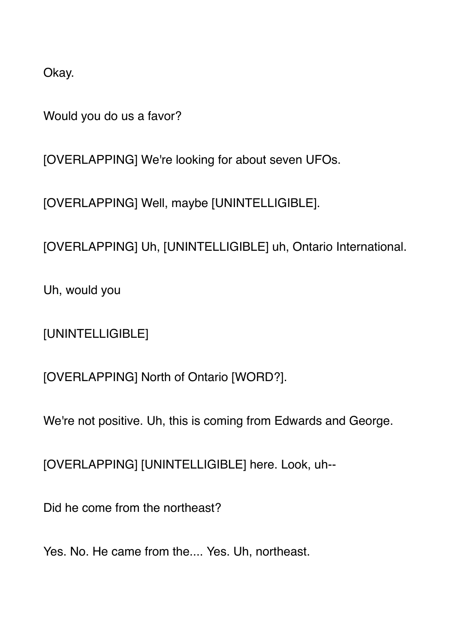Okay.

Would you do us a favor?

[OVERLAPPING] We're looking for about seven UFOs.

[OVERLAPPING] Well, maybe [UNINTELLIGIBLE].

[OVERLAPPING] Uh, [UNINTELLIGIBLE] uh, Ontario International.

Uh, would you

[UNINTELLIGIBLE]

[OVERLAPPING] North of Ontario [WORD?].

We're not positive. Uh, this is coming from Edwards and George.

[OVERLAPPING] [UNINTELLIGIBLE] here. Look, uh--

Did he come from the northeast?

Yes. No. He came from the.... Yes. Uh, northeast.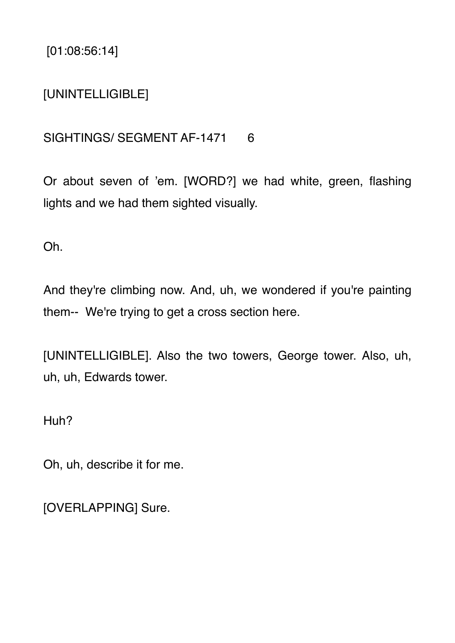[01:08:56:14]

### [UNINTELLIGIBLE]

#### SIGHTINGS/ SEGMENT AF-1471 6

Or about seven of 'em. [WORD?] we had white, green, flashing lights and we had them sighted visually.

Oh.

And they're climbing now. And, uh, we wondered if you're painting them-- We're trying to get a cross section here.

[UNINTELLIGIBLE]. Also the two towers, George tower. Also, uh, uh, uh, Edwards tower.

Huh?

Oh, uh, describe it for me.

[OVERLAPPING] Sure.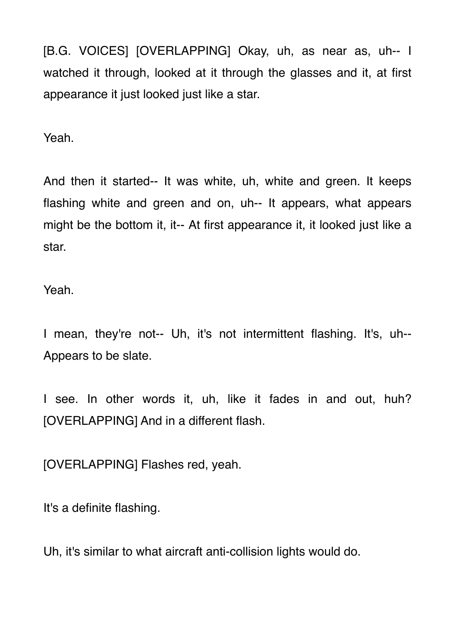[B.G. VOICES] [OVERLAPPING] Okay, uh, as near as, uh-- I watched it through, looked at it through the glasses and it, at first appearance it just looked just like a star.

Yeah.

And then it started-- It was white, uh, white and green. It keeps flashing white and green and on, uh-- It appears, what appears might be the bottom it, it-- At first appearance it, it looked just like a star.

Yeah.

I mean, they're not-- Uh, it's not intermittent flashing. It's, uh-- Appears to be slate.

I see. In other words it, uh, like it fades in and out, huh? [OVERLAPPING] And in a different flash.

[OVERLAPPING] Flashes red, yeah.

It's a definite flashing.

Uh, it's similar to what aircraft anti-collision lights would do.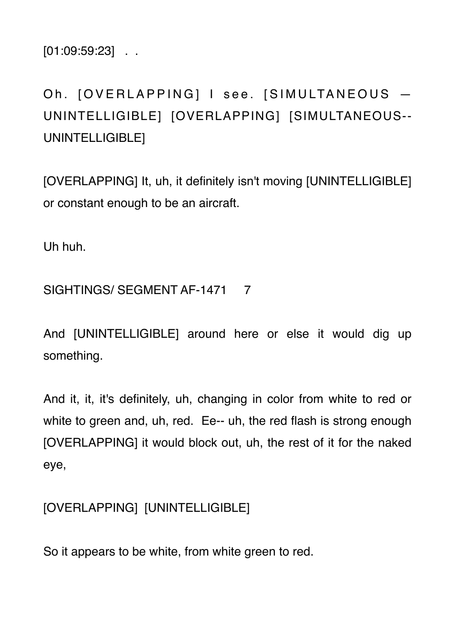$[01:09:59:23]$  .

# Oh. [OVERLAPPING] I see. [SIMULTANEOUS -UNINTELLIGIBLE] [OVERLAPPING] [SIMULTANEOUS-- UNINTELLIGIBLE]

[OVERLAPPING] It, uh, it definitely isn't moving [UNINTELLIGIBLE] or constant enough to be an aircraft.

Uh huh.

## SIGHTINGS/ SEGMENT AF-1471 7

And [UNINTELLIGIBLE] around here or else it would dig up something.

And it, it, it's definitely, uh, changing in color from white to red or white to green and, uh, red. Ee-- uh, the red flash is strong enough [OVERLAPPING] it would block out, uh, the rest of it for the naked eye,

## [OVERLAPPING] [UNINTELLIGIBLE]

So it appears to be white, from white green to red.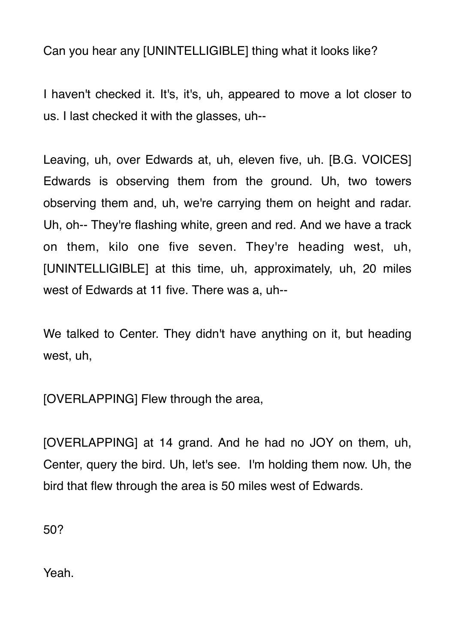Can you hear any [UNINTELLIGIBLE] thing what it looks like?

I haven't checked it. It's, it's, uh, appeared to move a lot closer to us. I last checked it with the glasses, uh--

Leaving, uh, over Edwards at, uh, eleven five, uh. [B.G. VOICES] Edwards is observing them from the ground. Uh, two towers observing them and, uh, we're carrying them on height and radar. Uh, oh-- They're flashing white, green and red. And we have a track on them, kilo one five seven. They're heading west, uh, [UNINTELLIGIBLE] at this time, uh, approximately, uh, 20 miles west of Edwards at 11 five. There was a, uh--

We talked to Center. They didn't have anything on it, but heading west, uh,

[OVERLAPPING] Flew through the area,

[OVERLAPPING] at 14 grand. And he had no JOY on them, uh, Center, query the bird. Uh, let's see. I'm holding them now. Uh, the bird that flew through the area is 50 miles west of Edwards.

50?

Yeah.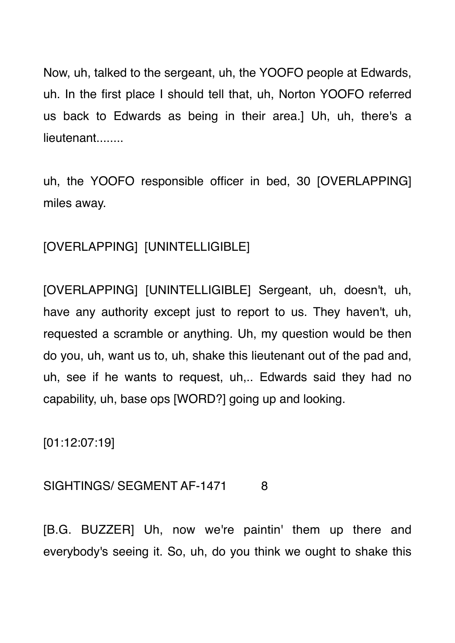Now, uh, talked to the sergeant, uh, the YOOFO people at Edwards, uh. In the first place I should tell that, uh, Norton YOOFO referred us back to Edwards as being in their area.] Uh, uh, there's a lieutenant........

uh, the YOOFO responsible officer in bed, 30 [OVERLAPPING] miles away.

[OVERLAPPING] [UNINTELLIGIBLE]

[OVERLAPPING] [UNINTELLIGIBLE] Sergeant, uh, doesn't, uh, have any authority except just to report to us. They haven't, uh, requested a scramble or anything. Uh, my question would be then do you, uh, want us to, uh, shake this lieutenant out of the pad and, uh, see if he wants to request, uh,.. Edwards said they had no capability, uh, base ops [WORD?] going up and looking.

[01:12:07:19]

#### SIGHTINGS/ SEGMENT AF-1471 8

[B.G. BUZZER] Uh, now we're paintin' them up there and everybody's seeing it. So, uh, do you think we ought to shake this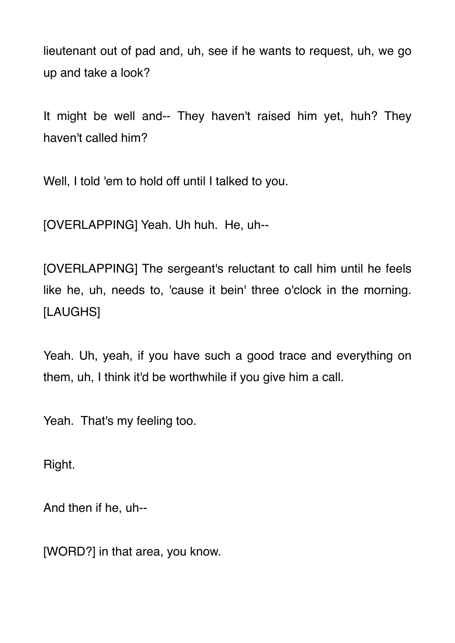lieutenant out of pad and, uh, see if he wants to request, uh, we go up and take a look?

It might be well and-- They haven't raised him yet, huh? They haven't called him?

Well, I told 'em to hold off until I talked to you.

[OVERLAPPING] Yeah. Uh huh. He, uh--

[OVERLAPPING] The sergeant's reluctant to call him until he feels like he, uh, needs to, 'cause it bein' three o'clock in the morning. [LAUGHS]

Yeah. Uh, yeah, if you have such a good trace and everything on them, uh, I think it'd be worthwhile if you give him a call.

Yeah. That's my feeling too.

Right.

And then if he, uh--

[WORD?] in that area, you know.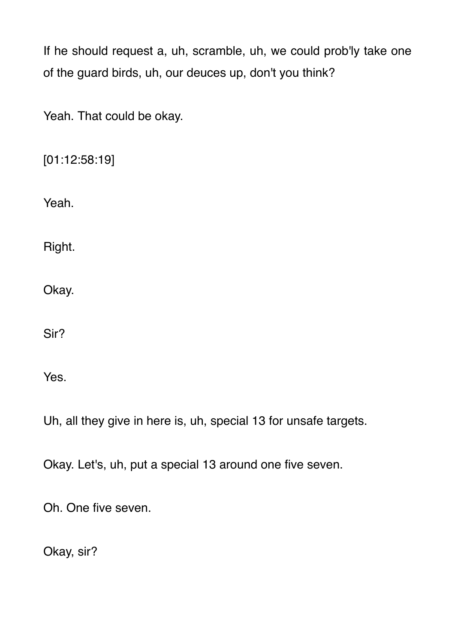If he should request a, uh, scramble, uh, we could prob'ly take one of the guard birds, uh, our deuces up, don't you think?

Yeah. That could be okay.

[01:12:58:19]

Yeah.

Right.

Okay.

Sir?

Yes.

Uh, all they give in here is, uh, special 13 for unsafe targets.

Okay. Let's, uh, put a special 13 around one five seven.

Oh. One five seven.

Okay, sir?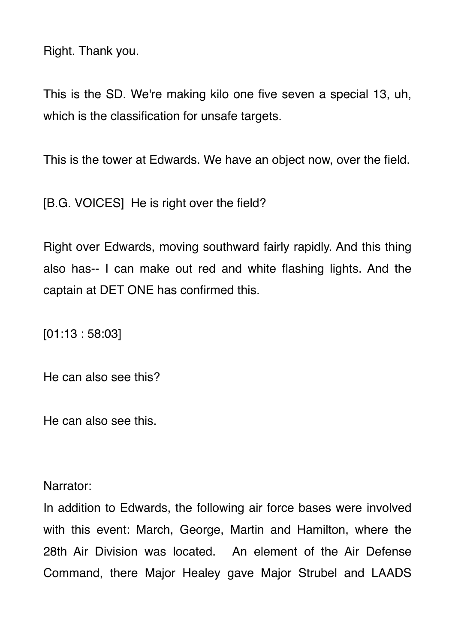Right. Thank you.

This is the SD. We're making kilo one five seven a special 13, uh, which is the classification for unsafe targets.

This is the tower at Edwards. We have an object now, over the field.

[B.G. VOICES] He is right over the field?

Right over Edwards, moving southward fairly rapidly. And this thing also has-- I can make out red and white flashing lights. And the captain at DET ONE has confirmed this.

[01:13 : 58:03]

He can also see this?

He can also see this.

Narrator:

In addition to Edwards, the following air force bases were involved with this event: March, George, Martin and Hamilton, where the 28th Air Division was located. An element of the Air Defense Command, there Major Healey gave Major Strubel and LAADS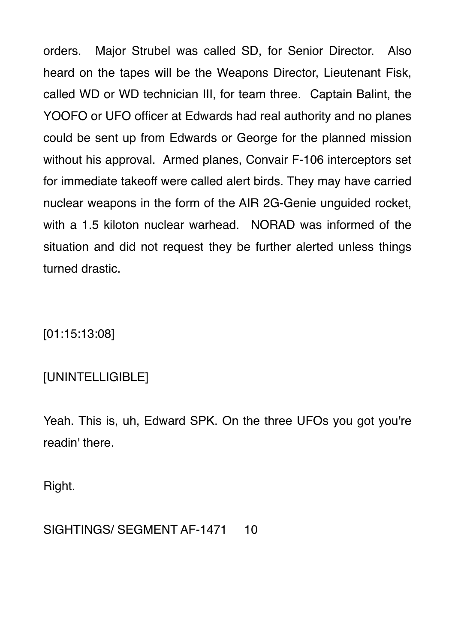orders. Major Strubel was called SD, for Senior Director. Also heard on the tapes will be the Weapons Director, Lieutenant Fisk, called WD or WD technician III, for team three. Captain Balint, the YOOFO or UFO officer at Edwards had real authority and no planes could be sent up from Edwards or George for the planned mission without his approval. Armed planes, Convair F-106 interceptors set for immediate takeoff were called alert birds. They may have carried nuclear weapons in the form of the AIR 2G-Genie unguided rocket, with a 1.5 kiloton nuclear warhead. NORAD was informed of the situation and did not request they be further alerted unless things turned drastic.

[01:15:13:08]

### [UNINTELLIGIBLE]

Yeah. This is, uh, Edward SPK. On the three UFOs you got you're readin' there.

Right.

#### SIGHTINGS/ SEGMENT AF-1471 10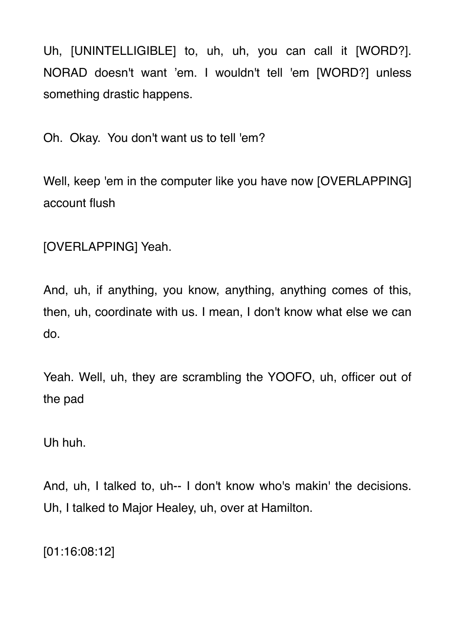Uh, [UNINTELLIGIBLE] to, uh, uh, you can call it [WORD?]. NORAD doesn't want 'em. I wouldn't tell 'em [WORD?] unless something drastic happens.

Oh. Okay. You don't want us to tell 'em?

Well, keep 'em in the computer like you have now [OVERLAPPING] account flush

[OVERLAPPING] Yeah.

And, uh, if anything, you know, anything, anything comes of this, then, uh, coordinate with us. I mean, I don't know what else we can do.

Yeah. Well, uh, they are scrambling the YOOFO, uh, officer out of the pad

Uh huh.

And, uh, I talked to, uh-- I don't know who's makin' the decisions. Uh, I talked to Major Healey, uh, over at Hamilton.

[01:16:08:12]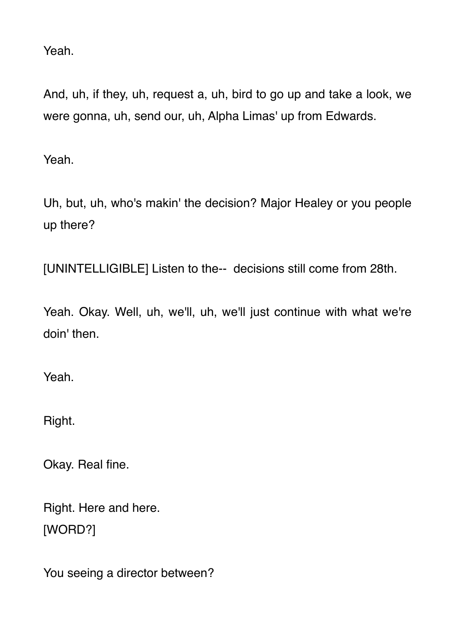Yeah.

And, uh, if they, uh, request a, uh, bird to go up and take a look, we were gonna, uh, send our, uh, Alpha Limas' up from Edwards.

Yeah.

Uh, but, uh, who's makin' the decision? Major Healey or you people up there?

[UNINTELLIGIBLE] Listen to the-- decisions still come from 28th.

Yeah. Okay. Well, uh, we'll, uh, we'll just continue with what we're doin' then.

Yeah.

Right.

Okay. Real fine.

Right. Here and here. [WORD?]

You seeing a director between?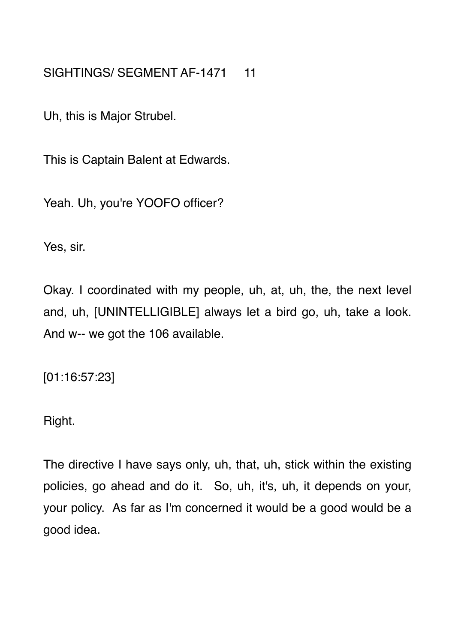SIGHTINGS/ SEGMENT AF-1471 11

Uh, this is Major Strubel.

This is Captain Balent at Edwards.

Yeah. Uh, you're YOOFO officer?

Yes, sir.

Okay. I coordinated with my people, uh, at, uh, the, the next level and, uh, [UNINTELLIGIBLE] always let a bird go, uh, take a look. And w-- we got the 106 available.

[01:16:57:23]

Right.

The directive I have says only, uh, that, uh, stick within the existing policies, go ahead and do it. So, uh, it's, uh, it depends on your, your policy. As far as I'm concerned it would be a good would be a good idea.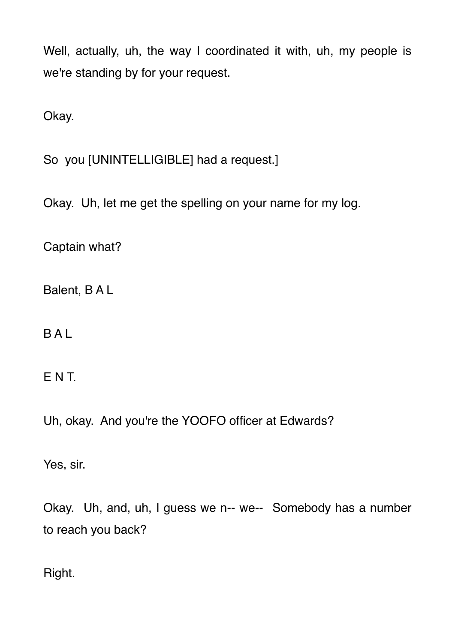Well, actually, uh, the way I coordinated it with, uh, my people is we're standing by for your request.

Okay.

So you [UNINTELLIGIBLE] had a request.]

Okay. Uh, let me get the spelling on your name for my log.

Captain what?

Balent, B A L

**BAL** 

E N T.

Uh, okay. And you're the YOOFO officer at Edwards?

Yes, sir.

Okay. Uh, and, uh, I guess we n-- we-- Somebody has a number to reach you back?

Right.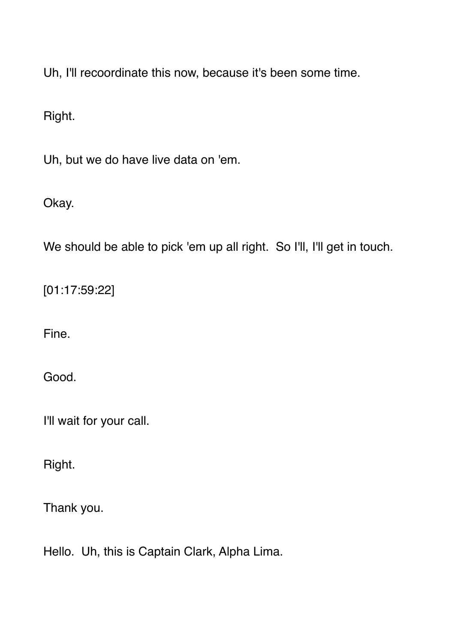Uh, I'll recoordinate this now, because it's been some time.

Right.

Uh, but we do have live data on 'em.

Okay.

We should be able to pick 'em up all right. So I'll, I'll get in touch.

[01:17:59:22]

Fine.

Good.

I'll wait for your call.

Right.

Thank you.

Hello. Uh, this is Captain Clark, Alpha Lima.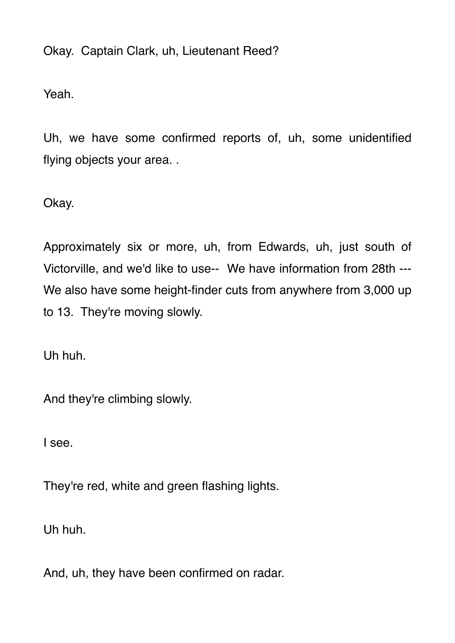Okay. Captain Clark, uh, Lieutenant Reed?

Yeah.

Uh, we have some confirmed reports of, uh, some unidentified flying objects your area. .

Okay.

Approximately six or more, uh, from Edwards, uh, just south of Victorville, and we'd like to use-- We have information from 28th --- We also have some height-finder cuts from anywhere from 3,000 up to 13. They're moving slowly.

Uh huh.

And they're climbing slowly.

I see.

They're red, white and green flashing lights.

Uh huh.

And, uh, they have been confirmed on radar.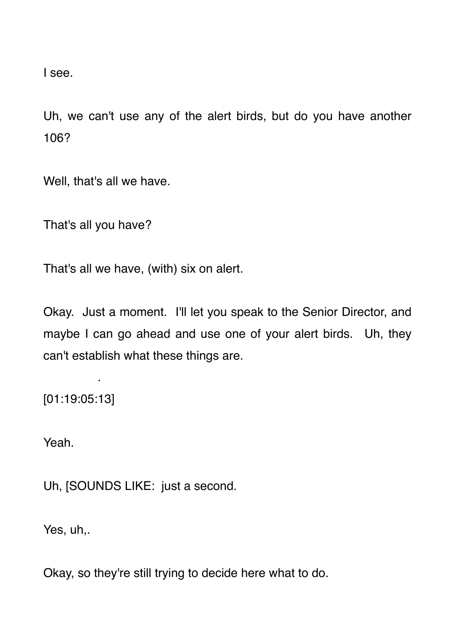I see.

Uh, we can't use any of the alert birds, but do you have another 106?

Well, that's all we have.

That's all you have?

That's all we have, (with) six on alert.

Okay. Just a moment. I'll let you speak to the Senior Director, and maybe I can go ahead and use one of your alert birds. Uh, they can't establish what these things are.

[01:19:05:13]

.

Yeah.

Uh, [SOUNDS LIKE: just a second.

Yes, uh,.

Okay, so they're still trying to decide here what to do.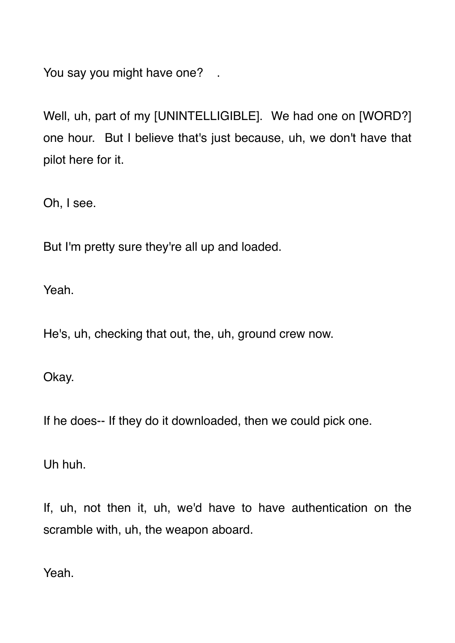You say you might have one? .

Well, uh, part of my [UNINTELLIGIBLE]. We had one on [WORD?] one hour. But I believe that's just because, uh, we don't have that pilot here for it.

Oh, I see.

But I'm pretty sure they're all up and loaded.

Yeah.

He's, uh, checking that out, the, uh, ground crew now.

Okay.

If he does-- If they do it downloaded, then we could pick one.

Uh huh.

If, uh, not then it, uh, we'd have to have authentication on the scramble with, uh, the weapon aboard.

Yeah.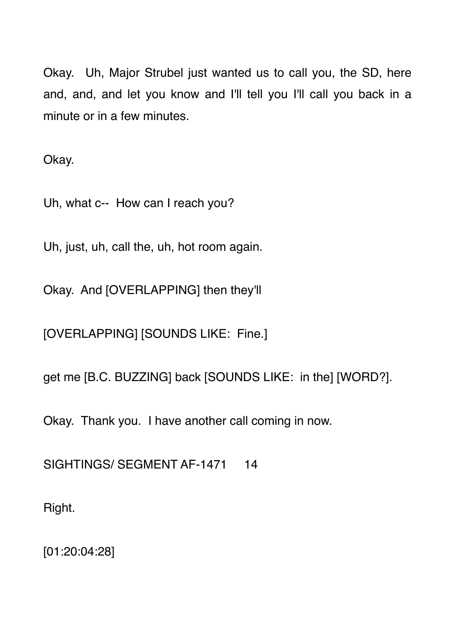Okay. Uh, Major Strubel just wanted us to call you, the SD, here and, and, and let you know and I'll tell you I'll call you back in a minute or in a few minutes.

Okay.

Uh, what c-- How can I reach you?

Uh, just, uh, call the, uh, hot room again.

Okay. And [OVERLAPPING] then they'll

[OVERLAPPING] [SOUNDS LIKE: Fine.]

get me [B.C. BUZZING] back [SOUNDS LIKE: in the] [WORD?].

Okay. Thank you. I have another call coming in now.

SIGHTINGS/ SEGMENT AF-1471 14

Right.

[01:20:04:28]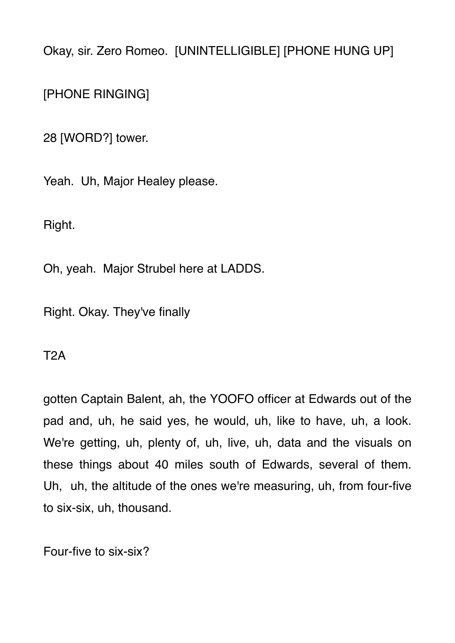Okay, sir. Zero Romeo. [UNINTELLIGIBLE] [PHONE HUNG UP]

[PHONE RINGING]

28 [WORD?] tower.

Yeah. Uh, Major Healey please.

Right.

Oh, yeah. Major Strubel here at LADDS.

Right. Okay. They've finally

T2A

gotten Captain Balent, ah, the YOOFO officer at Edwards out of the pad and, uh, he said yes, he would, uh, like to have, uh, a look. We're getting, uh, plenty of, uh, live, uh, data and the visuals on these things about 40 miles south of Edwards, several of them. Uh, uh, the altitude of the ones we're measuring, uh, from four-five to six-six, uh, thousand.

Four-five to six-six?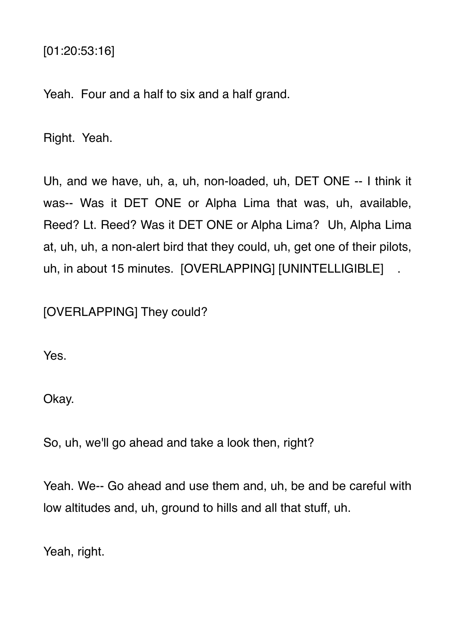[01:20:53:16]

Yeah. Four and a half to six and a half grand.

Right. Yeah.

Uh, and we have, uh, a, uh, non-loaded, uh, DET ONE -- I think it was-- Was it DET ONE or Alpha Lima that was, uh, available, Reed? Lt. Reed? Was it DET ONE or Alpha Lima? Uh, Alpha Lima at, uh, uh, a non-alert bird that they could, uh, get one of their pilots, uh, in about 15 minutes. [OVERLAPPING] [UNINTELLIGIBLE] .

[OVERLAPPING] They could?

Yes.

Okay.

So, uh, we'll go ahead and take a look then, right?

Yeah. We-- Go ahead and use them and, uh, be and be careful with low altitudes and, uh, ground to hills and all that stuff, uh.

Yeah, right.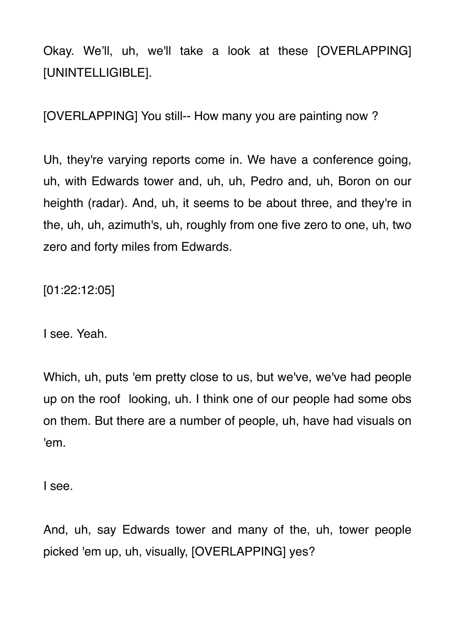Okay. We'll, uh, we'll take a look at these [OVERLAPPING] [UNINTELLIGIBLE].

[OVERLAPPING] You still-- How many you are painting now ?

Uh, they're varying reports come in. We have a conference going, uh, with Edwards tower and, uh, uh, Pedro and, uh, Boron on our heighth (radar). And, uh, it seems to be about three, and they're in the, uh, uh, azimuth's, uh, roughly from one five zero to one, uh, two zero and forty miles from Edwards.

[01:22:12:05]

I see. Yeah.

Which, uh, puts 'em pretty close to us, but we've, we've had people up on the roof looking, uh. I think one of our people had some obs on them. But there are a number of people, uh, have had visuals on 'em.

I see.

And, uh, say Edwards tower and many of the, uh, tower people picked 'em up, uh, visually, [OVERLAPPING] yes?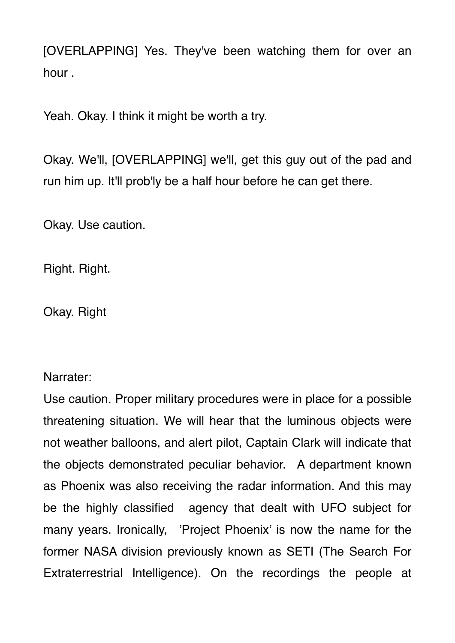[OVERLAPPING] Yes. They've been watching them for over an hour .

Yeah. Okay. I think it might be worth a try.

Okay. We'll, [OVERLAPPING] we'll, get this guy out of the pad and run him up. It'll prob'ly be a half hour before he can get there.

Okay. Use caution.

Right. Right.

Okay. Right

Narrater:

Use caution. Proper military procedures were in place for a possible threatening situation. We will hear that the luminous objects were not weather balloons, and alert pilot, Captain Clark will indicate that the objects demonstrated peculiar behavior. A department known as Phoenix was also receiving the radar information. And this may be the highly classified agency that dealt with UFO subject for many years. Ironically, 'Project Phoenix' is now the name for the former NASA division previously known as SETI (The Search For Extraterrestrial Intelligence). On the recordings the people at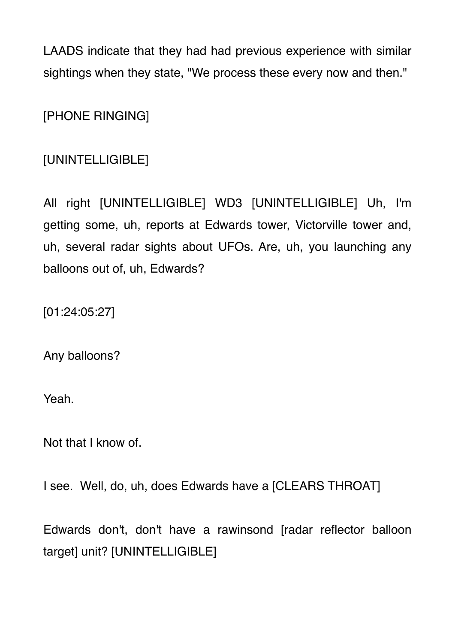LAADS indicate that they had had previous experience with similar sightings when they state, "We process these every now and then."

[PHONE RINGING]

# [UNINTELLIGIBLE]

All right [UNINTELLIGIBLE] WD3 [UNINTELLIGIBLE] Uh, I'm getting some, uh, reports at Edwards tower, Victorville tower and, uh, several radar sights about UFOs. Are, uh, you launching any balloons out of, uh, Edwards?

[01:24:05:27]

Any balloons?

Yeah.

Not that I know of.

I see. Well, do, uh, does Edwards have a [CLEARS THROAT]

Edwards don't, don't have a rawinsond [radar reflector balloon target] unit? [UNINTELLIGIBLE]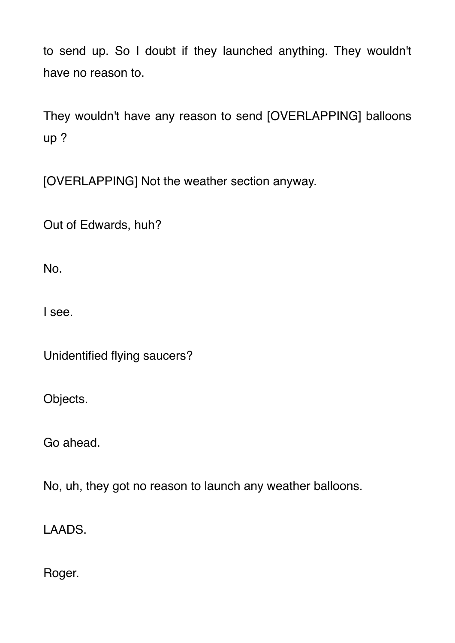to send up. So I doubt if they launched anything. They wouldn't have no reason to.

They wouldn't have any reason to send [OVERLAPPING] balloons up ?

[OVERLAPPING] Not the weather section anyway.

Out of Edwards, huh?

No.

I see.

Unidentified flying saucers?

Objects.

Go ahead.

No, uh, they got no reason to launch any weather balloons.

LAADS.

Roger.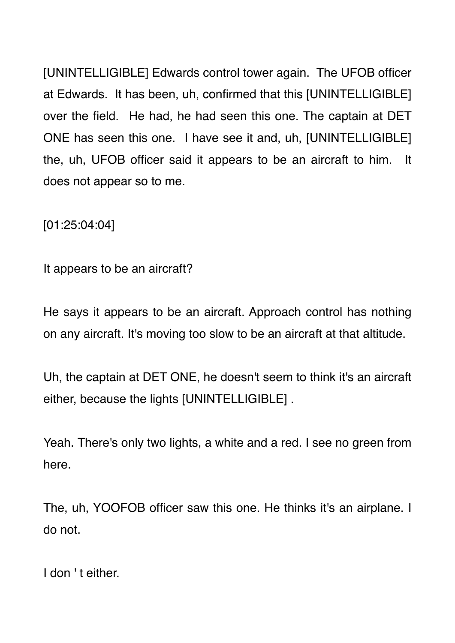[UNINTELLIGIBLE] Edwards control tower again. The UFOB officer at Edwards. It has been, uh, confirmed that this [UNINTELLIGIBLE] over the field. He had, he had seen this one. The captain at DET ONE has seen this one. I have see it and, uh, [UNINTELLIGIBLE] the, uh, UFOB officer said it appears to be an aircraft to him. It does not appear so to me.

[01:25:04:04]

It appears to be an aircraft?

He says it appears to be an aircraft. Approach control has nothing on any aircraft. It's moving too slow to be an aircraft at that altitude.

Uh, the captain at DET ONE, he doesn't seem to think it's an aircraft either, because the lights [UNINTELLIGIBLE] .

Yeah. There's only two lights, a white and a red. I see no green from here.

The, uh, YOOFOB officer saw this one. He thinks it's an airplane. I do not.

I don 't either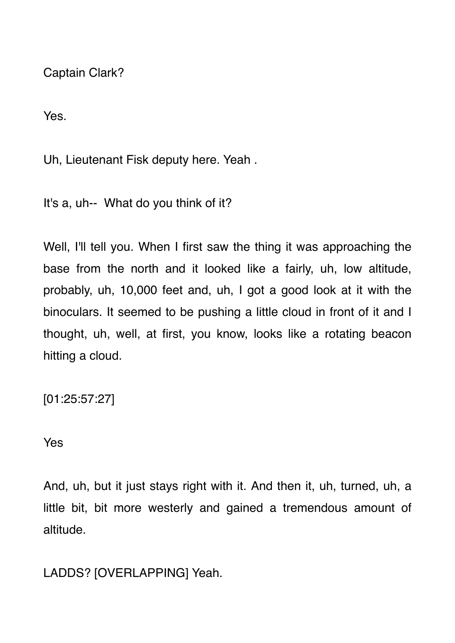Captain Clark?

Yes.

Uh, Lieutenant Fisk deputy here. Yeah .

It's a, uh-- What do you think of it?

Well, I'll tell you. When I first saw the thing it was approaching the base from the north and it looked like a fairly, uh, low altitude, probably, uh, 10,000 feet and, uh, I got a good look at it with the binoculars. It seemed to be pushing a little cloud in front of it and I thought, uh, well, at first, you know, looks like a rotating beacon hitting a cloud.

[01:25:57:27]

#### Yes

And, uh, but it just stays right with it. And then it, uh, turned, uh, a little bit, bit more westerly and gained a tremendous amount of altitude.

LADDS? [OVERLAPPING] Yeah.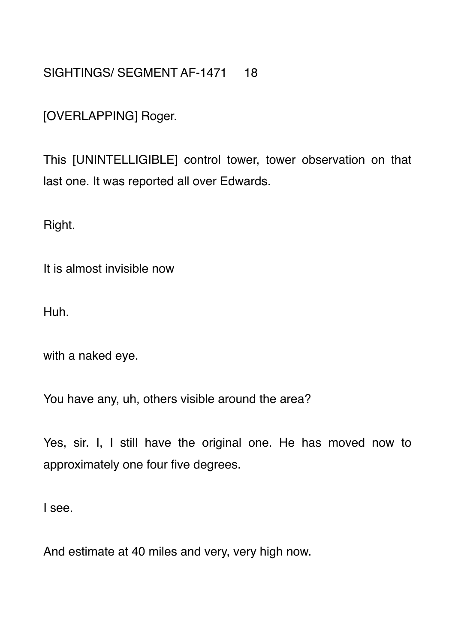## SIGHTINGS/ SEGMENT AF-1471 18

[OVERLAPPING] Roger.

This [UNINTELLIGIBLE] control tower, tower observation on that last one. It was reported all over Edwards.

Right.

It is almost invisible now

Huh.

with a naked eye.

You have any, uh, others visible around the area?

Yes, sir. I, I still have the original one. He has moved now to approximately one four five degrees.

I see.

And estimate at 40 miles and very, very high now.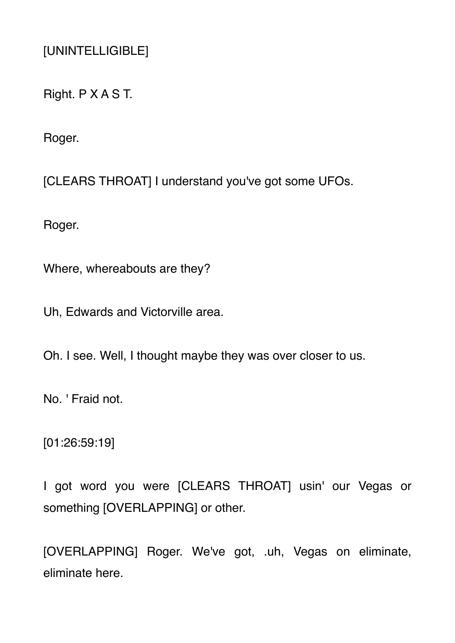[UNINTELLIGIBLE]

Right. P X A S T.

Roger.

[CLEARS THROAT] I understand you've got some UFOs.

Roger.

Where, whereabouts are they?

Uh, Edwards and Victorville area.

Oh. I see. Well, I thought maybe they was over closer to us.

No. ' Fraid not.

[01:26:59:19]

I got word you were [CLEARS THROAT] usin' our Vegas or something [OVERLAPPING] or other.

[OVERLAPPING] Roger. We've got, .uh, Vegas on eliminate, eliminate here.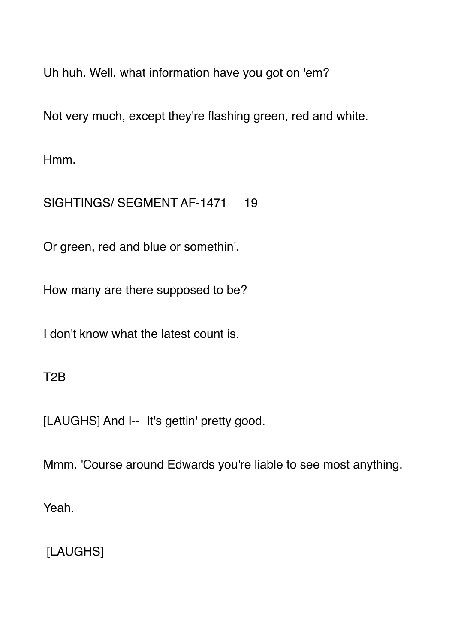Uh huh. Well, what information have you got on 'em?

Not very much, except they're flashing green, red and white.

Hmm.

SIGHTINGS/ SEGMENT AF-1471 19

Or green, red and blue or somethin'.

How many are there supposed to be?

I don't know what the latest count is.

T2B

[LAUGHS] And I-- It's gettin' pretty good.

Mmm. 'Course around Edwards you're liable to see most anything.

Yeah.

[LAUGHS]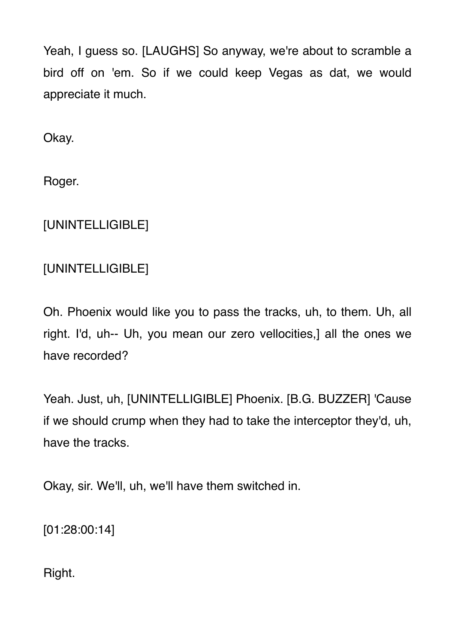Yeah, I guess so. [LAUGHS] So anyway, we're about to scramble a bird off on 'em. So if we could keep Vegas as dat, we would appreciate it much.

Okay.

Roger.

# [UNINTELLIGIBLE]

# [UNINTELLIGIBLE]

Oh. Phoenix would like you to pass the tracks, uh, to them. Uh, all right. I'd, uh-- Uh, you mean our zero vellocities,] all the ones we have recorded?

Yeah. Just, uh, [UNINTELLIGIBLE] Phoenix. [B.G. BUZZER] 'Cause if we should crump when they had to take the interceptor they'd, uh, have the tracks.

Okay, sir. We'll, uh, we'll have them switched in.

[01:28:00:14]

Right.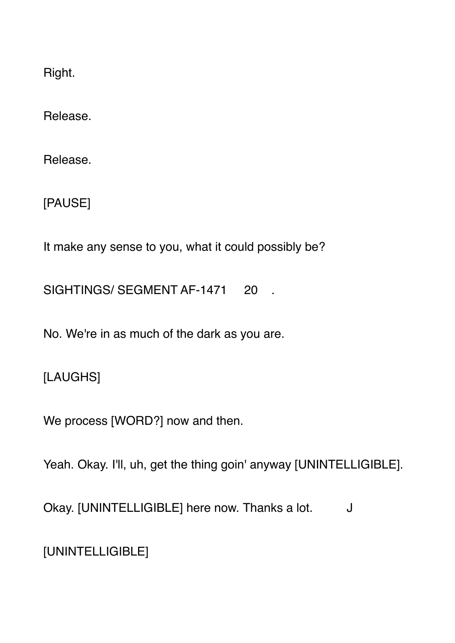Right.

Release.

Release.

[PAUSE]

It make any sense to you, what it could possibly be?

SIGHTINGS/ SEGMENT AF-1471 20 .

No. We're in as much of the dark as you are.

[LAUGHS]

We process [WORD?] now and then.

Yeah. Okay. I'll, uh, get the thing goin' anyway [UNINTELLIGIBLE].

Okay. [UNINTELLIGIBLE] here now. Thanks a lot. J

[UNINTELLIGIBLE]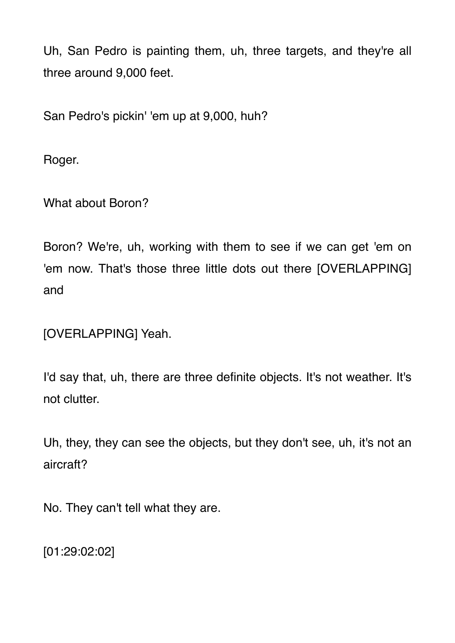Uh, San Pedro is painting them, uh, three targets, and they're all three around 9,000 feet.

San Pedro's pickin' 'em up at 9,000, huh?

Roger.

What about Boron?

Boron? We're, uh, working with them to see if we can get 'em on 'em now. That's those three little dots out there [OVERLAPPING] and

[OVERLAPPING] Yeah.

I'd say that, uh, there are three definite objects. It's not weather. It's not clutter.

Uh, they, they can see the objects, but they don't see, uh, it's not an aircraft?

No. They can't tell what they are.

[01:29:02:02]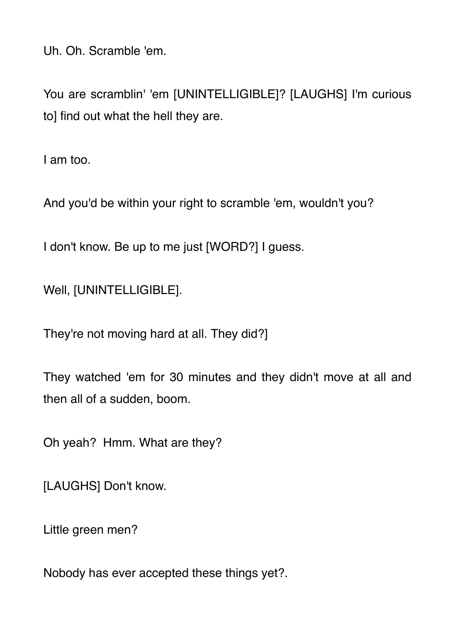Uh. Oh. Scramble 'em.

You are scramblin' 'em [UNINTELLIGIBLE]? [LAUGHS] I'm curious to] find out what the hell they are.

I am too.

And you'd be within your right to scramble 'em, wouldn't you?

I don't know. Be up to me just [WORD?] I guess.

Well, [UNINTELLIGIBLE].

They're not moving hard at all. They did?]

They watched 'em for 30 minutes and they didn't move at all and then all of a sudden, boom.

Oh yeah? Hmm. What are they?

[LAUGHS] Don't know.

Little green men?

Nobody has ever accepted these things yet?.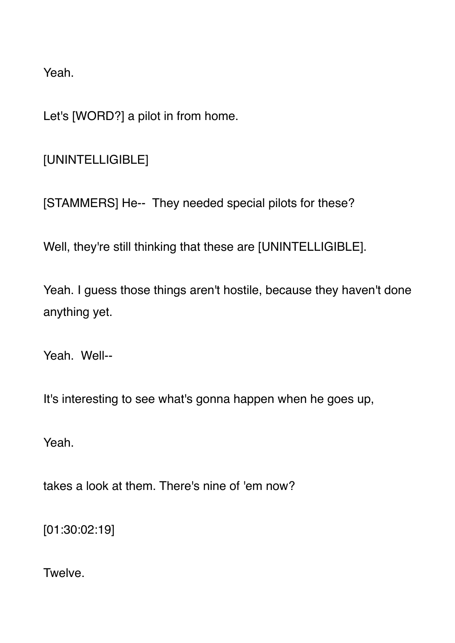Yeah.

Let's [WORD?] a pilot in from home.

[UNINTELLIGIBLE]

[STAMMERS] He-- They needed special pilots for these?

Well, they're still thinking that these are [UNINTELLIGIBLE].

Yeah. I guess those things aren't hostile, because they haven't done anything yet.

Yeah Well--

It's interesting to see what's gonna happen when he goes up,

Yeah.

takes a look at them. There's nine of 'em now?

[01:30:02:19]

**Twelve**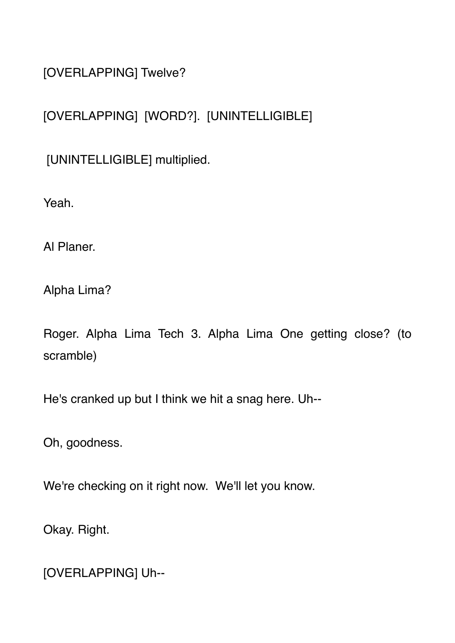[OVERLAPPING] Twelve?

## [OVERLAPPING] [WORD?]. [UNINTELLIGIBLE]

[UNINTELLIGIBLE] multiplied.

Yeah.

Al Planer.

Alpha Lima?

Roger. Alpha Lima Tech 3. Alpha Lima One getting close? (to scramble)

He's cranked up but I think we hit a snag here. Uh--

Oh, goodness.

We're checking on it right now. We'll let you know.

Okay. Right.

[OVERLAPPING] Uh--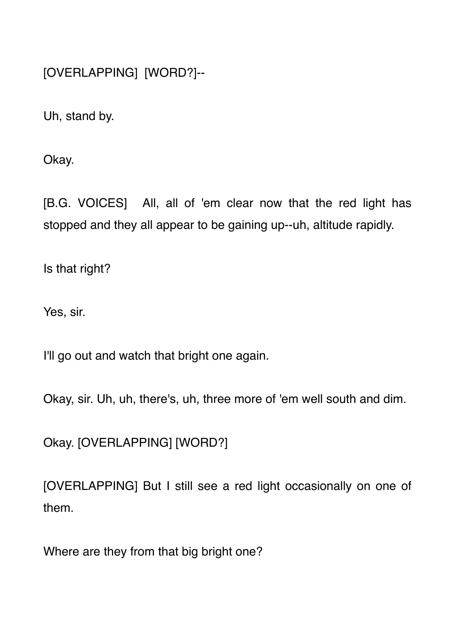[OVERLAPPING] [WORD?]--

Uh, stand by.

Okay.

[B.G. VOICES] All, all of 'em clear now that the red light has stopped and they all appear to be gaining up--uh, altitude rapidly.

Is that right?

Yes, sir.

I'll go out and watch that bright one again.

Okay, sir. Uh, uh, there's, uh, three more of 'em well south and dim.

Okay. [OVERLAPPING] [WORD?]

[OVERLAPPING] But I still see a red light occasionally on one of them.

Where are they from that big bright one?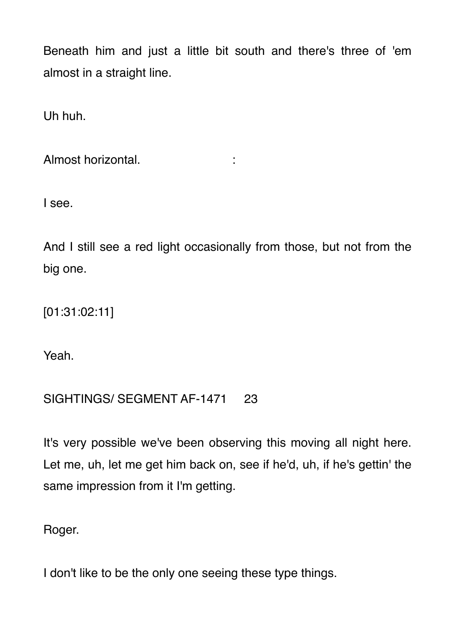Beneath him and just a little bit south and there's three of 'em almost in a straight line.

Uh huh.

Almost horizontal.

I see.

And I still see a red light occasionally from those, but not from the big one.

[01:31:02:11]

Yeah.

## SIGHTINGS/ SEGMENT AF-1471 23

It's very possible we've been observing this moving all night here. Let me, uh, let me get him back on, see if he'd, uh, if he's gettin' the same impression from it I'm getting.

Roger.

I don't like to be the only one seeing these type things.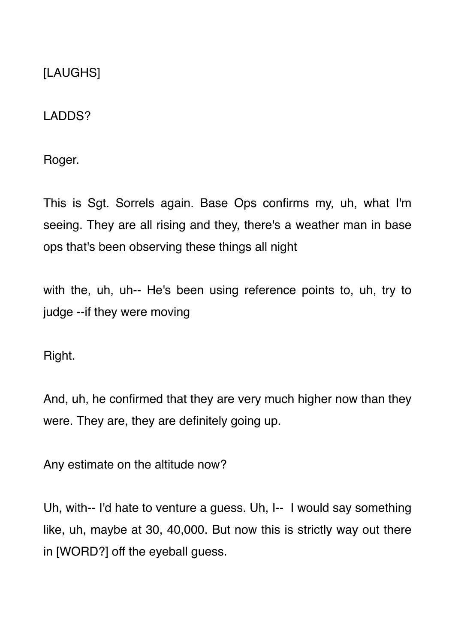[LAUGHS]

LADDS?

Roger.

This is Sgt. Sorrels again. Base Ops confirms my, uh, what I'm seeing. They are all rising and they, there's a weather man in base ops that's been observing these things all night

with the, uh, uh-- He's been using reference points to, uh, try to judge --if they were moving

Right.

And, uh, he confirmed that they are very much higher now than they were. They are, they are definitely going up.

Any estimate on the altitude now?

Uh, with-- I'd hate to venture a guess. Uh, I-- I would say something like, uh, maybe at 30, 40,000. But now this is strictly way out there in [WORD?] off the eyeball guess.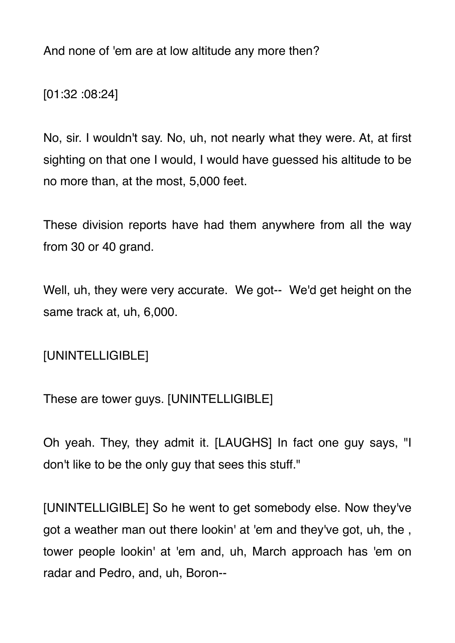And none of 'em are at low altitude any more then?

[01:32 :08:24]

No, sir. I wouldn't say. No, uh, not nearly what they were. At, at first sighting on that one I would, I would have guessed his altitude to be no more than, at the most, 5,000 feet.

These division reports have had them anywhere from all the way from 30 or 40 grand.

Well, uh, they were very accurate. We got-- We'd get height on the same track at, uh, 6,000.

[UNINTELLIGIBLE]

These are tower guys. [UNINTELLIGIBLE]

Oh yeah. They, they admit it. [LAUGHS] In fact one guy says, "I don't like to be the only guy that sees this stuff."

[UNINTELLIGIBLE] So he went to get somebody else. Now they've got a weather man out there lookin' at 'em and they've got, uh, the , tower people lookin' at 'em and, uh, March approach has 'em on radar and Pedro, and, uh, Boron--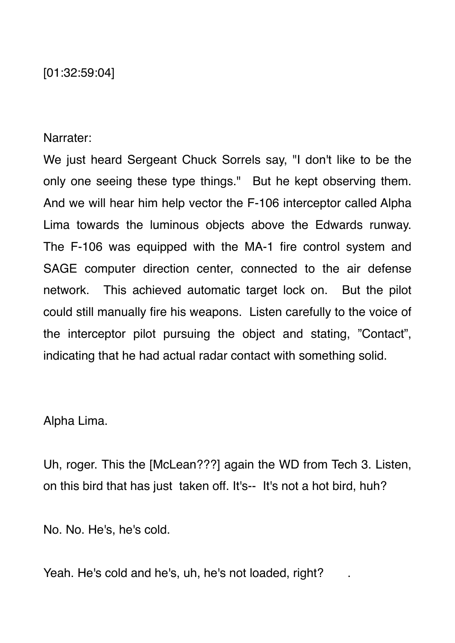[01:32:59:04]

Narrater:

We just heard Sergeant Chuck Sorrels say, "I don't like to be the only one seeing these type things." But he kept observing them. And we will hear him help vector the F-106 interceptor called Alpha Lima towards the luminous objects above the Edwards runway. The F-106 was equipped with the MA-1 fire control system and SAGE computer direction center, connected to the air defense network. This achieved automatic target lock on. But the pilot could still manually fire his weapons. Listen carefully to the voice of the interceptor pilot pursuing the object and stating, "Contact", indicating that he had actual radar contact with something solid.

Alpha Lima.

Uh, roger. This the [McLean???] again the WD from Tech 3. Listen, on this bird that has just taken off. It's-- It's not a hot bird, huh?

No. No. He's, he's cold.

Yeah. He's cold and he's, uh, he's not loaded, right?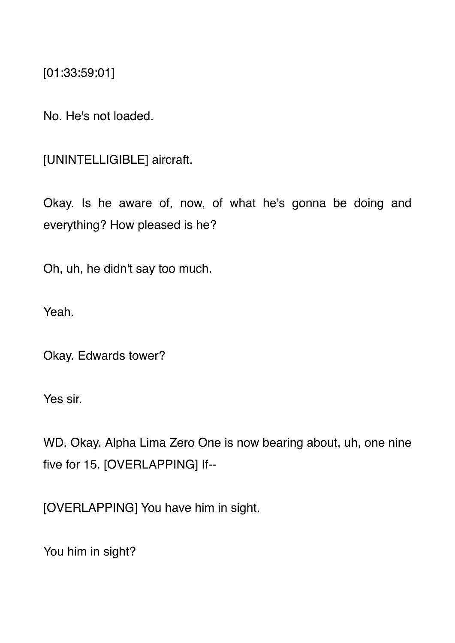[01:33:59:01]

No. He's not loaded.

[UNINTELLIGIBLE] aircraft.

Okay. Is he aware of, now, of what he's gonna be doing and everything? How pleased is he?

Oh, uh, he didn't say too much.

Yeah.

Okay. Edwards tower?

Yes sir.

WD. Okay. Alpha Lima Zero One is now bearing about, uh, one nine five for 15. [OVERLAPPING] If--

[OVERLAPPING] You have him in sight.

You him in sight?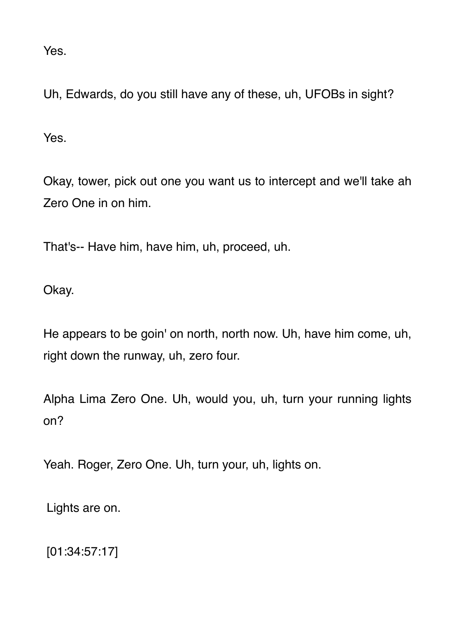Yes.

Uh, Edwards, do you still have any of these, uh, UFOBs in sight?

Yes.

Okay, tower, pick out one you want us to intercept and we'll take ah Zero One in on him.

That's-- Have him, have him, uh, proceed, uh.

Okay.

He appears to be goin' on north, north now. Uh, have him come, uh, right down the runway, uh, zero four.

Alpha Lima Zero One. Uh, would you, uh, turn your running lights on?

Yeah. Roger, Zero One. Uh, turn your, uh, lights on.

Lights are on.

[01:34:57:17]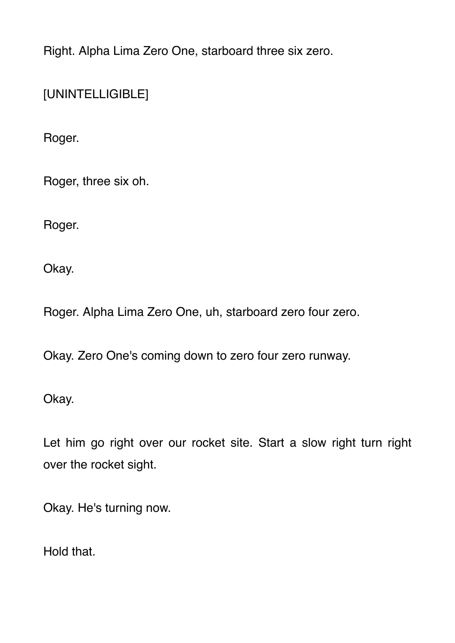Right. Alpha Lima Zero One, starboard three six zero.

[UNINTELLIGIBLE]

Roger.

Roger, three six oh.

Roger.

Okay.

Roger. Alpha Lima Zero One, uh, starboard zero four zero.

Okay. Zero One's coming down to zero four zero runway.

Okay.

Let him go right over our rocket site. Start a slow right turn right over the rocket sight.

Okay. He's turning now.

Hold that.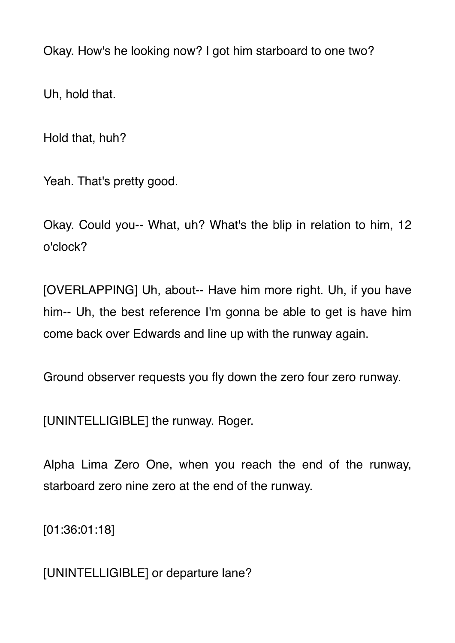Okay. How's he looking now? I got him starboard to one two?

Uh, hold that.

Hold that, huh?

Yeah. That's pretty good.

Okay. Could you-- What, uh? What's the blip in relation to him, 12 o'clock?

[OVERLAPPING] Uh, about-- Have him more right. Uh, if you have him-- Uh, the best reference I'm gonna be able to get is have him come back over Edwards and line up with the runway again.

Ground observer requests you fly down the zero four zero runway.

[UNINTELLIGIBLE] the runway. Roger.

Alpha Lima Zero One, when you reach the end of the runway, starboard zero nine zero at the end of the runway.

[01:36:01:18]

[UNINTELLIGIBLE] or departure lane?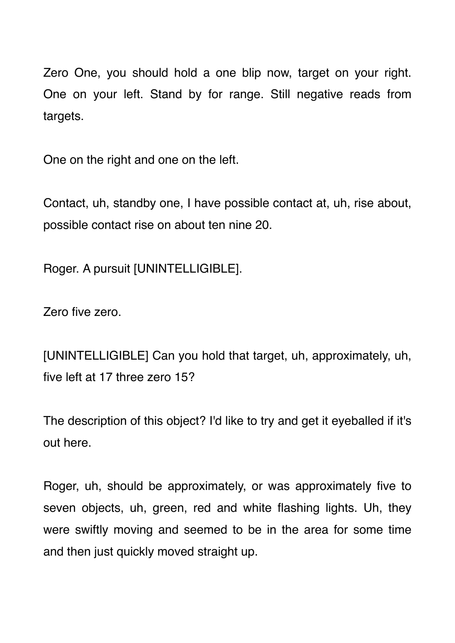Zero One, you should hold a one blip now, target on your right. One on your left. Stand by for range. Still negative reads from targets.

One on the right and one on the left.

Contact, uh, standby one, I have possible contact at, uh, rise about, possible contact rise on about ten nine 20.

Roger. A pursuit [UNINTELLIGIBLE].

Zero five zero.

[UNINTELLIGIBLE] Can you hold that target, uh, approximately, uh, five left at 17 three zero 15?

The description of this object? I'd like to try and get it eyeballed if it's out here.

Roger, uh, should be approximately, or was approximately five to seven objects, uh, green, red and white flashing lights. Uh, they were swiftly moving and seemed to be in the area for some time and then just quickly moved straight up.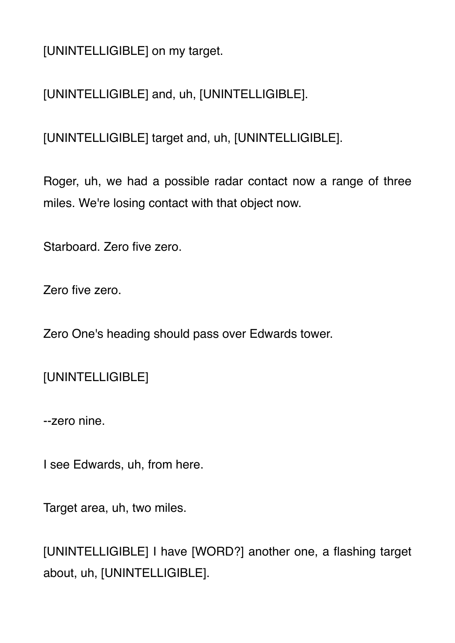[UNINTELLIGIBLE] on my target.

[UNINTELLIGIBLE] and, uh, [UNINTELLIGIBLE].

[UNINTELLIGIBLE] target and, uh, [UNINTELLIGIBLE].

Roger, uh, we had a possible radar contact now a range of three miles. We're losing contact with that object now.

Starboard. Zero five zero.

Zero five zero.

Zero One's heading should pass over Edwards tower.

[UNINTELLIGIBLE]

--zero nine.

I see Edwards, uh, from here.

Target area, uh, two miles.

[UNINTELLIGIBLE] I have [WORD?] another one, a flashing target about, uh, [UNINTELLIGIBLE].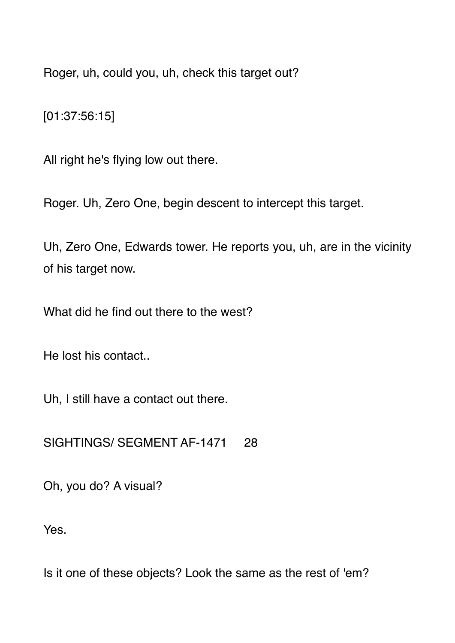Roger, uh, could you, uh, check this target out?

[01:37:56:15]

All right he's flying low out there.

Roger. Uh, Zero One, begin descent to intercept this target.

Uh, Zero One, Edwards tower. He reports you, uh, are in the vicinity of his target now.

What did he find out there to the west?

He lost his contact..

Uh, I still have a contact out there.

SIGHTINGS/ SEGMENT AF-1471 28

Oh, you do? A visual?

Yes.

Is it one of these objects? Look the same as the rest of 'em?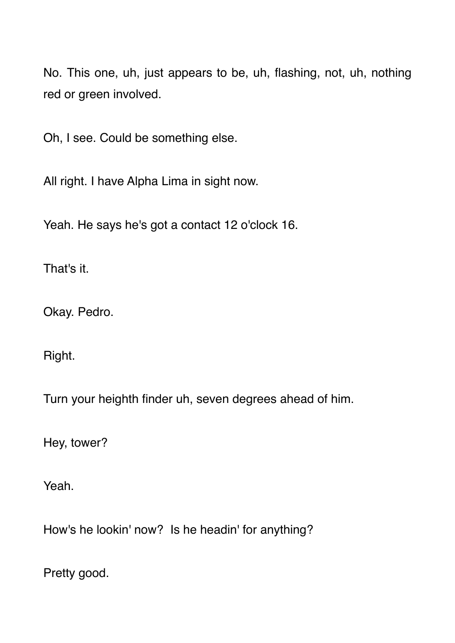No. This one, uh, just appears to be, uh, flashing, not, uh, nothing red or green involved.

Oh, I see. Could be something else.

All right. I have Alpha Lima in sight now.

Yeah. He says he's got a contact 12 o'clock 16.

That's it.

Okay. Pedro.

Right.

Turn your heighth finder uh, seven degrees ahead of him.

Hey, tower?

Yeah.

How's he lookin' now? Is he headin' for anything?

Pretty good.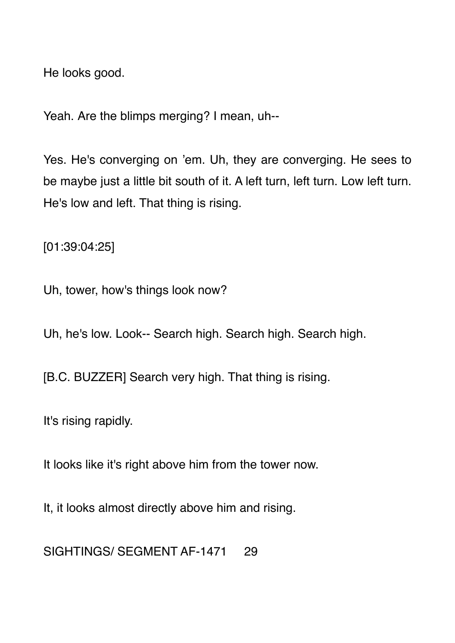He looks good.

Yeah. Are the blimps merging? I mean, uh--

Yes. He's converging on 'em. Uh, they are converging. He sees to be maybe just a little bit south of it. A left turn, left turn. Low left turn. He's low and left. That thing is rising.

[01:39:04:25]

Uh, tower, how's things look now?

Uh, he's low. Look-- Search high. Search high. Search high.

[B.C. BUZZER] Search very high. That thing is rising.

It's rising rapidly.

It looks like it's right above him from the tower now.

It, it looks almost directly above him and rising.

SIGHTINGS/ SEGMENT AF-1471 29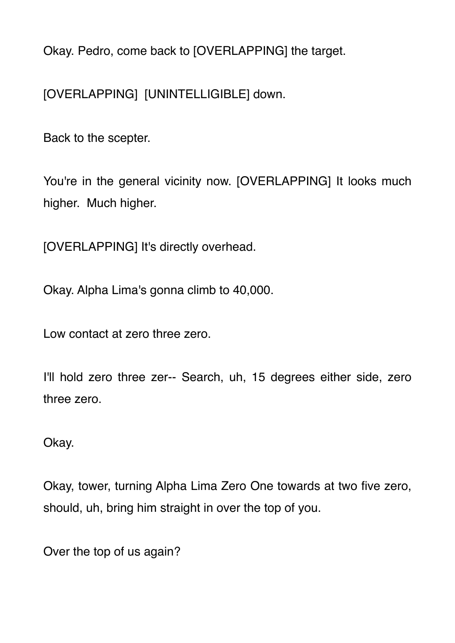Okay. Pedro, come back to [OVERLAPPING] the target.

[OVERLAPPING] [UNINTELLIGIBLE] down.

Back to the scepter.

You're in the general vicinity now. [OVERLAPPING] It looks much higher. Much higher.

[OVERLAPPING] It's directly overhead.

Okay. Alpha Lima's gonna climb to 40,000.

Low contact at zero three zero.

I'll hold zero three zer-- Search, uh, 15 degrees either side, zero three zero.

Okay.

Okay, tower, turning Alpha Lima Zero One towards at two five zero, should, uh, bring him straight in over the top of you.

Over the top of us again?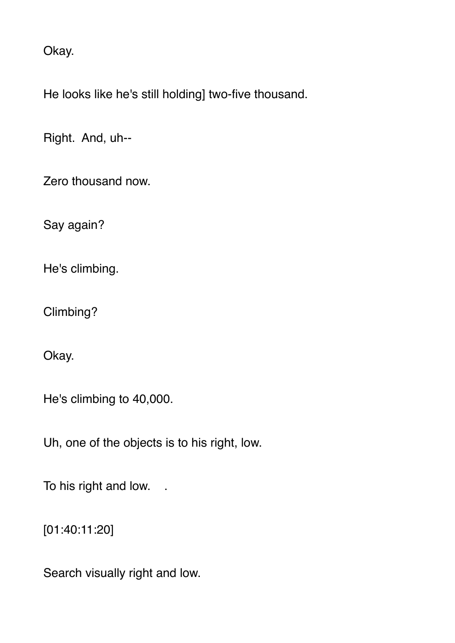Okay.

He looks like he's still holding] two-five thousand.

Right. And, uh--

Zero thousand now.

Say again?

He's climbing.

Climbing?

Okay.

He's climbing to 40,000.

Uh, one of the objects is to his right, low.

To his right and low. .

[01:40:11:20]

Search visually right and low.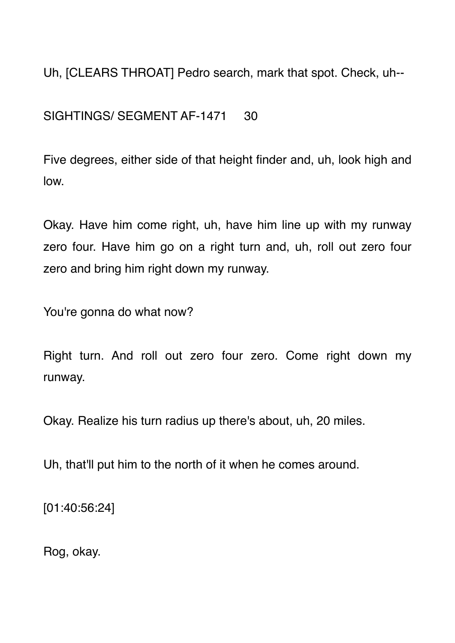Uh, [CLEARS THROAT] Pedro search, mark that spot. Check, uh--

SIGHTINGS/ SEGMENT AF-1471 30

Five degrees, either side of that height finder and, uh, look high and low.

Okay. Have him come right, uh, have him line up with my runway zero four. Have him go on a right turn and, uh, roll out zero four zero and bring him right down my runway.

You're gonna do what now?

Right turn. And roll out zero four zero. Come right down my runway.

Okay. Realize his turn radius up there's about, uh, 20 miles.

Uh, that'll put him to the north of it when he comes around.

[01:40:56:24]

Rog, okay.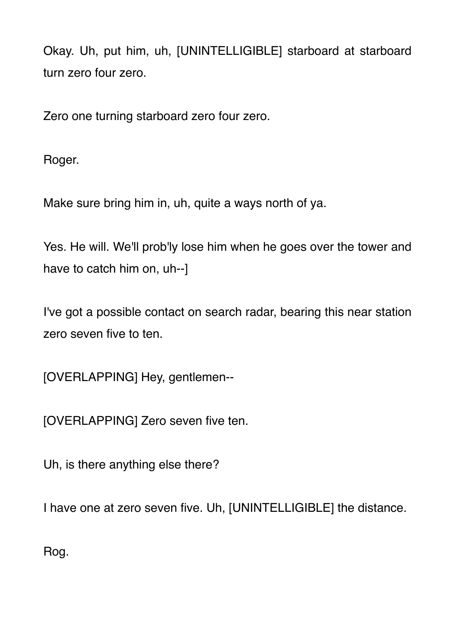Okay. Uh, put him, uh, [UNINTELLIGIBLE] starboard at starboard turn zero four zero.

Zero one turning starboard zero four zero.

Roger.

Make sure bring him in, uh, quite a ways north of ya.

Yes. He will. We'll prob'ly lose him when he goes over the tower and have to catch him on, uh--]

I've got a possible contact on search radar, bearing this near station zero seven five to ten.

[OVERLAPPING] Hey, gentlemen--

[OVERLAPPING] Zero seven five ten.

Uh, is there anything else there?

I have one at zero seven five. Uh, [UNINTELLIGIBLE] the distance.

Rog.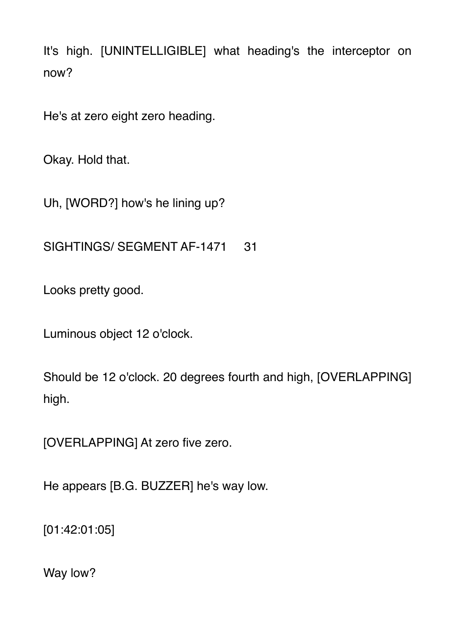It's high. [UNINTELLIGIBLE] what heading's the interceptor on now?

He's at zero eight zero heading.

Okay. Hold that.

Uh, [WORD?] how's he lining up?

SIGHTINGS/ SEGMENT AF-1471 31

Looks pretty good.

Luminous object 12 o'clock.

Should be 12 o'clock. 20 degrees fourth and high, [OVERLAPPING] high.

[OVERLAPPING] At zero five zero.

He appears [B.G. BUZZER] he's way low.

[01:42:01:05]

Way low?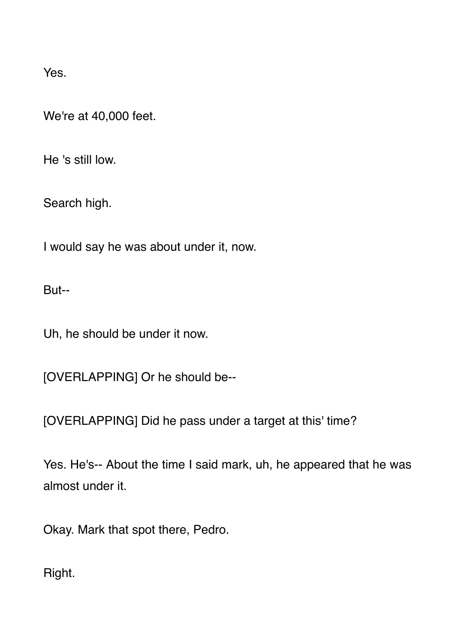Yes.

We're at 40,000 feet.

He 's still low.

Search high.

I would say he was about under it, now.

But--

Uh, he should be under it now.

[OVERLAPPING] Or he should be--

[OVERLAPPING] Did he pass under a target at this' time?

Yes. He's-- About the time I said mark, uh, he appeared that he was almost under it.

Okay. Mark that spot there, Pedro.

Right.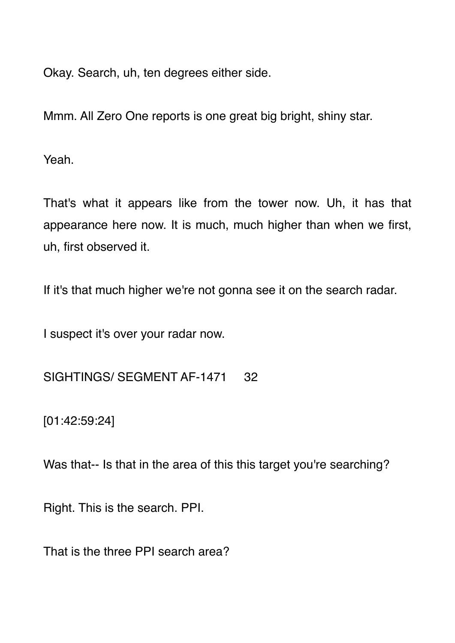Okay. Search, uh, ten degrees either side.

Mmm. All Zero One reports is one great big bright, shiny star.

Yeah.

That's what it appears like from the tower now. Uh, it has that appearance here now. It is much, much higher than when we first, uh, first observed it.

If it's that much higher we're not gonna see it on the search radar.

I suspect it's over your radar now.

SIGHTINGS/ SEGMENT AF-1471 32

[01:42:59:24]

Was that-- Is that in the area of this this target you're searching?

Right. This is the search. PPI.

That is the three PPI search area?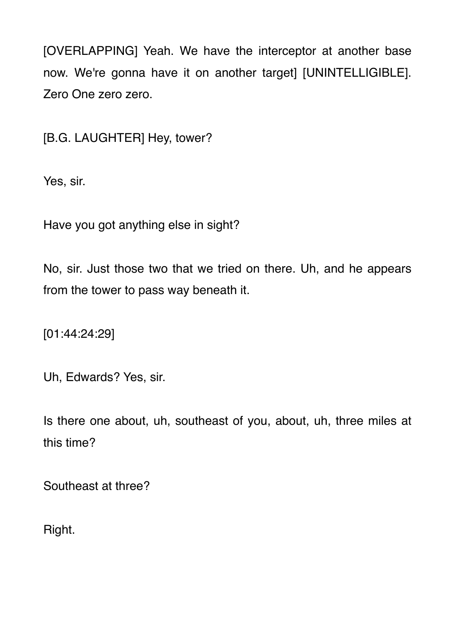[OVERLAPPING] Yeah. We have the interceptor at another base now. We're gonna have it on another target] [UNINTELLIGIBLE]. Zero One zero zero.

[B.G. LAUGHTER] Hey, tower?

Yes, sir.

Have you got anything else in sight?

No, sir. Just those two that we tried on there. Uh, and he appears from the tower to pass way beneath it.

[01:44:24:29]

Uh, Edwards? Yes, sir.

Is there one about, uh, southeast of you, about, uh, three miles at this time?

Southeast at three?

Right.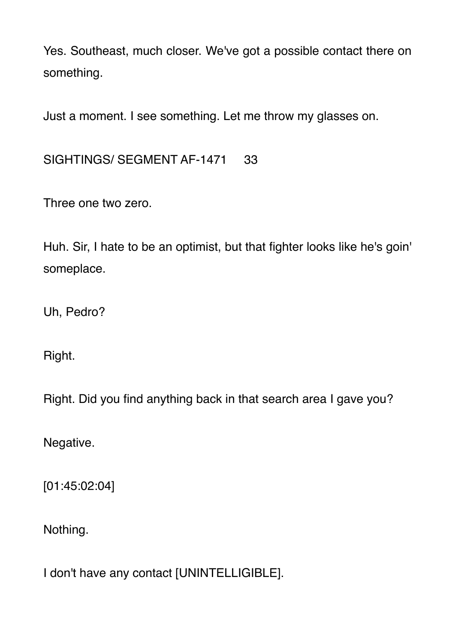Yes. Southeast, much closer. We've got a possible contact there on something.

Just a moment. I see something. Let me throw my glasses on.

SIGHTINGS/ SEGMENT AF-1471 33

Three one two zero.

Huh. Sir, I hate to be an optimist, but that fighter looks like he's goin' someplace.

Uh, Pedro?

Right.

Right. Did you find anything back in that search area I gave you?

Negative.

[01:45:02:04]

Nothing.

I don't have any contact [UNINTELLIGIBLE].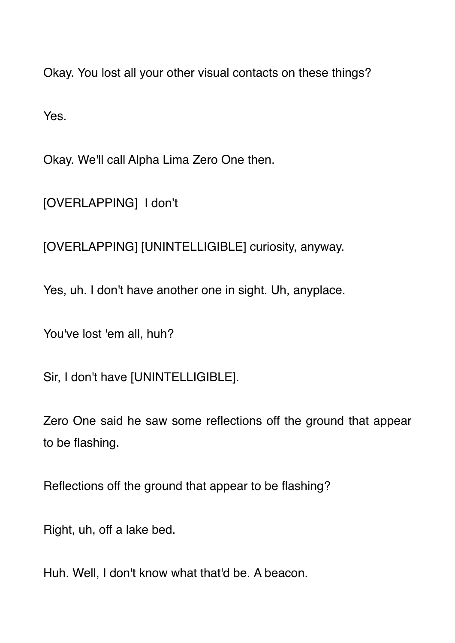Okay. You lost all your other visual contacts on these things?

Yes.

Okay. We'll call Alpha Lima Zero One then.

[OVERLAPPING] I don't

[OVERLAPPING] [UNINTELLIGIBLE] curiosity, anyway.

Yes, uh. I don't have another one in sight. Uh, anyplace.

You've lost 'em all, huh?

Sir, I don't have [UNINTELLIGIBLE].

Zero One said he saw some reflections off the ground that appear to be flashing.

Reflections off the ground that appear to be flashing?

Right, uh, off a lake bed.

Huh. Well, I don't know what that'd be. A beacon.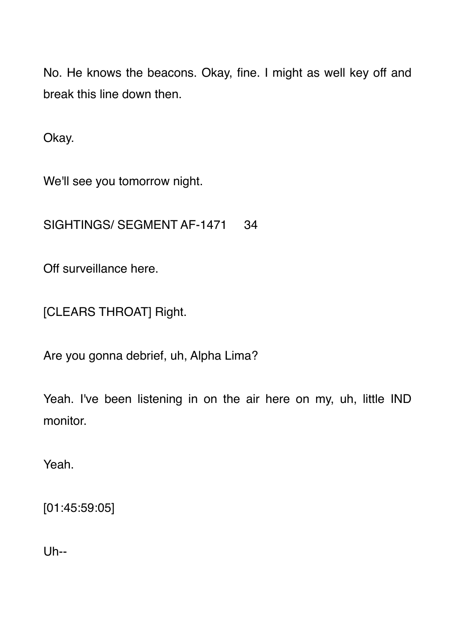No. He knows the beacons. Okay, fine. I might as well key off and break this line down then.

Okay.

We'll see you tomorrow night.

SIGHTINGS/ SEGMENT AF-1471 34

Off surveillance here.

[CLEARS THROAT] Right.

Are you gonna debrief, uh, Alpha Lima?

Yeah. I've been listening in on the air here on my, uh, little IND monitor.

Yeah.

[01:45:59:05]

Uh--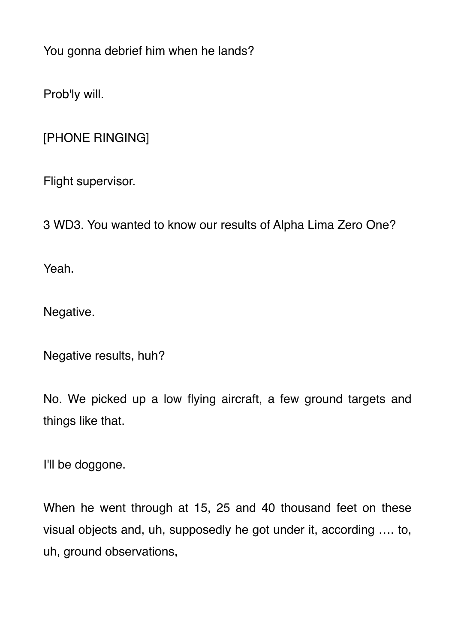You gonna debrief him when he lands?

Prob'ly will.

[PHONE RINGING]

Flight supervisor.

3 WD3. You wanted to know our results of Alpha Lima Zero One?

Yeah.

Negative.

Negative results, huh?

No. We picked up a low flying aircraft, a few ground targets and things like that.

I'll be doggone.

When he went through at 15, 25 and 40 thousand feet on these visual objects and, uh, supposedly he got under it, according …. to, uh, ground observations,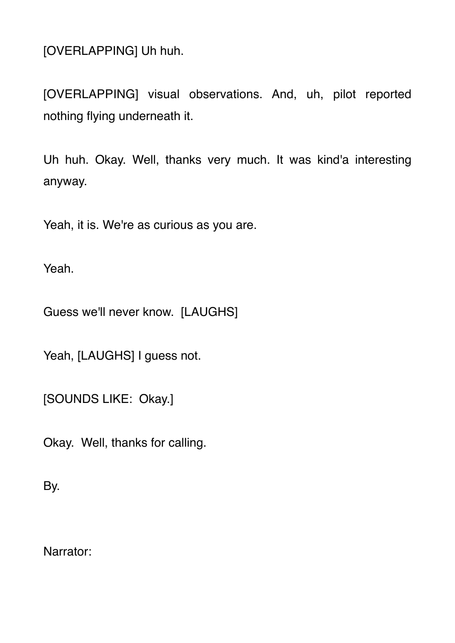[OVERLAPPING] Uh huh.

[OVERLAPPING] visual observations. And, uh, pilot reported nothing flying underneath it.

Uh huh. Okay. Well, thanks very much. It was kind'a interesting anyway.

Yeah, it is. We're as curious as you are.

Yeah.

Guess we'll never know. [LAUGHS]

Yeah, [LAUGHS] I guess not.

[SOUNDS LIKE: Okay.]

Okay. Well, thanks for calling.

By.

Narrator: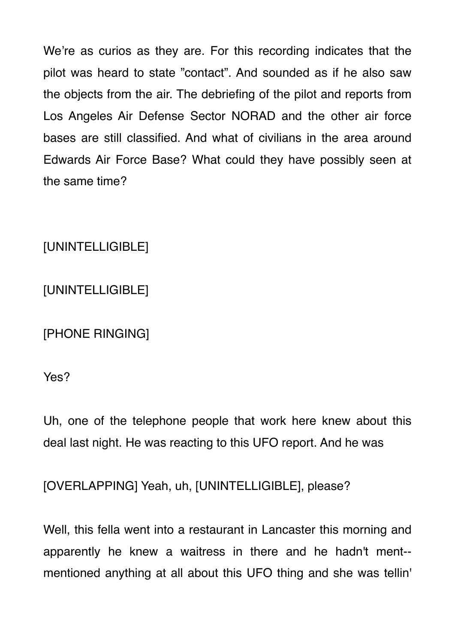We're as curios as they are. For this recording indicates that the pilot was heard to state "contact". And sounded as if he also saw the objects from the air. The debriefing of the pilot and reports from Los Angeles Air Defense Sector NORAD and the other air force bases are still classified. And what of civilians in the area around Edwards Air Force Base? What could they have possibly seen at the same time?

[UNINTELLIGIBLE]

[UNINTELLIGIBLE]

[PHONE RINGING]

Yes?

Uh, one of the telephone people that work here knew about this deal last night. He was reacting to this UFO report. And he was

[OVERLAPPING] Yeah, uh, [UNINTELLIGIBLE], please?

Well, this fella went into a restaurant in Lancaster this morning and apparently he knew a waitress in there and he hadn't ment- mentioned anything at all about this UFO thing and she was tellin'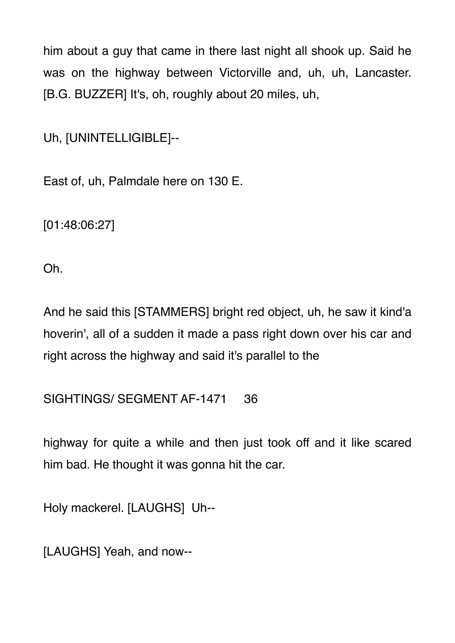him about a guy that came in there last night all shook up. Said he was on the highway between Victorville and, uh, uh, Lancaster. [B.G. BUZZER] It's, oh, roughly about 20 miles, uh,

Uh, [UNINTELLIGIBLE]--

East of, uh, Palmdale here on 130 E.

[01:48:06:27]

Oh.

And he said this [STAMMERS] bright red object, uh, he saw it kind'a hoverin', all of a sudden it made a pass right down over his car and right across the highway and said it's parallel to the

## SIGHTINGS/ SEGMENT AF-1471 36

highway for quite a while and then just took off and it like scared him bad. He thought it was gonna hit the car.

Holy mackerel. [LAUGHS] Uh--

[LAUGHS] Yeah, and now--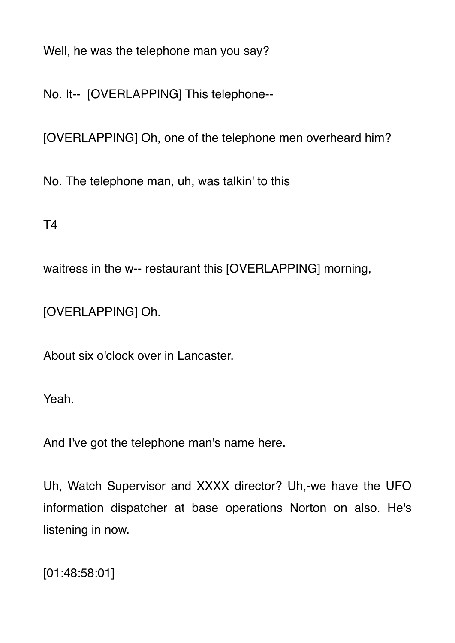Well, he was the telephone man you say?

No. It-- [OVERLAPPING] This telephone--

[OVERLAPPING] Oh, one of the telephone men overheard him?

No. The telephone man, uh, was talkin' to this

T4

waitress in the w-- restaurant this [OVERLAPPING] morning,

[OVERLAPPING] Oh.

About six o'clock over in Lancaster.

Yeah.

And I've got the telephone man's name here.

Uh, Watch Supervisor and XXXX director? Uh,-we have the UFO information dispatcher at base operations Norton on also. He's listening in now.

[01:48:58:01]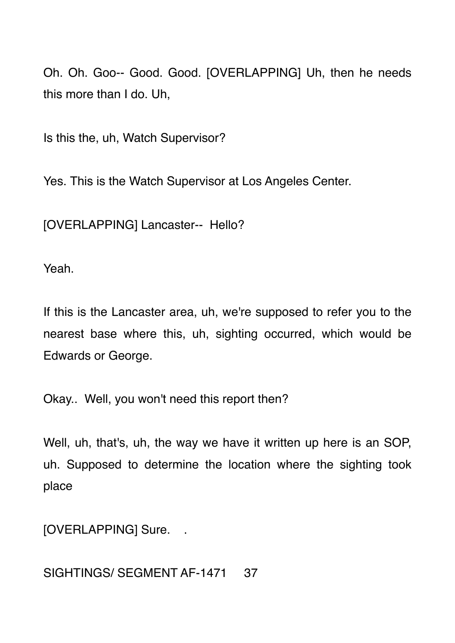Oh. Oh. Goo-- Good. Good. [OVERLAPPING] Uh, then he needs this more than I do. Uh,

Is this the, uh, Watch Supervisor?

Yes. This is the Watch Supervisor at Los Angeles Center.

[OVERLAPPING] Lancaster-- Hello?

Yeah.

If this is the Lancaster area, uh, we're supposed to refer you to the nearest base where this, uh, sighting occurred, which would be Edwards or George.

Okay.. Well, you won't need this report then?

Well, uh, that's, uh, the way we have it written up here is an SOP, uh. Supposed to determine the location where the sighting took place

[OVERLAPPING] Sure.

SIGHTINGS/ SEGMENT AF-1471 37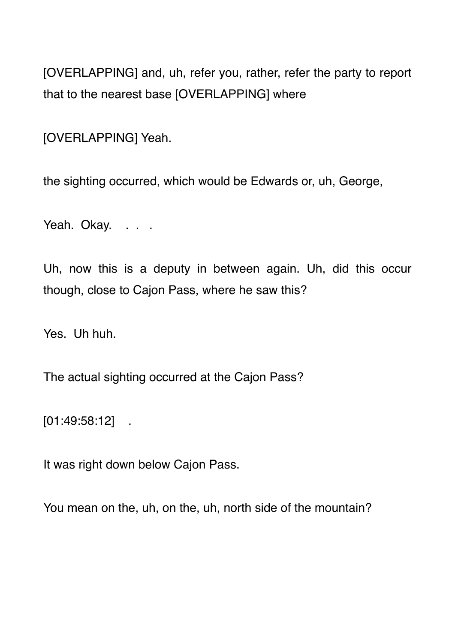[OVERLAPPING] and, uh, refer you, rather, refer the party to report that to the nearest base [OVERLAPPING] where

[OVERLAPPING] Yeah.

the sighting occurred, which would be Edwards or, uh, George,

Yeah. Okay. . . .

Uh, now this is a deputy in between again. Uh, did this occur though, close to Cajon Pass, where he saw this?

Yes. Uh huh.

The actual sighting occurred at the Cajon Pass?

[01:49:58:12] .

It was right down below Cajon Pass.

You mean on the, uh, on the, uh, north side of the mountain?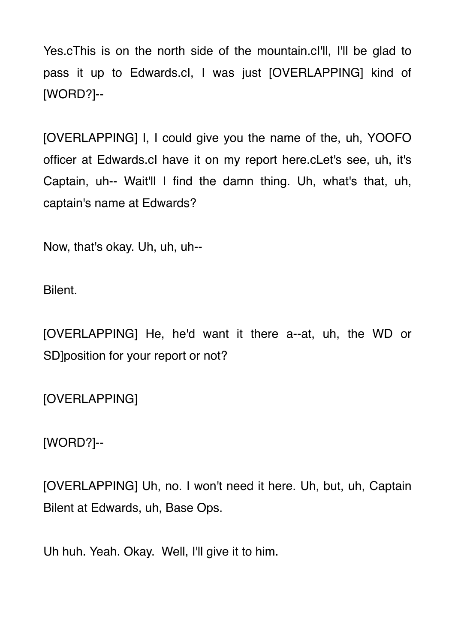Yes.cThis is on the north side of the mountain.cl'll, I'll be glad to pass it up to Edwards.cI, I was just [OVERLAPPING] kind of [WORD?]--

[OVERLAPPING] I, I could give you the name of the, uh, YOOFO officer at Edwards.cI have it on my report here.cLet's see, uh, it's Captain, uh-- Wait'll I find the damn thing. Uh, what's that, uh, captain's name at Edwards?

Now, that's okay. Uh, uh, uh--

Bilent.

[OVERLAPPING] He, he'd want it there a--at, uh, the WD or SD loosition for your report or not?

[OVERLAPPING]

[WORD?]--

[OVERLAPPING] Uh, no. I won't need it here. Uh, but, uh, Captain Bilent at Edwards, uh, Base Ops.

Uh huh. Yeah. Okay. Well, I'll give it to him.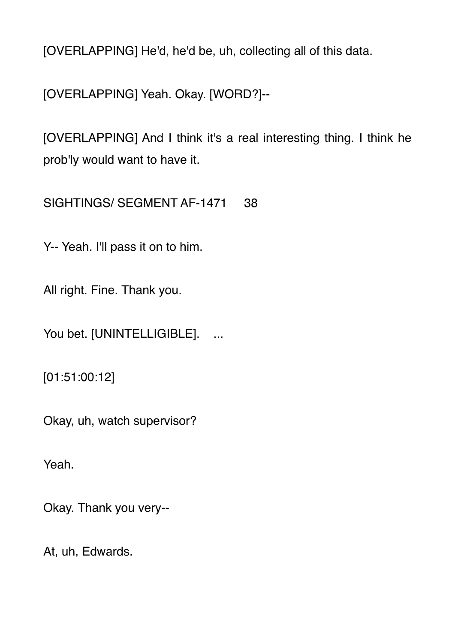[OVERLAPPING] He'd, he'd be, uh, collecting all of this data.

[OVERLAPPING] Yeah. Okay. [WORD?]--

[OVERLAPPING] And I think it's a real interesting thing. I think he prob'ly would want to have it.

SIGHTINGS/ SEGMENT AF-1471 38

Y-- Yeah. I'll pass it on to him.

All right. Fine. Thank you.

You bet. [UNINTELLIGIBLE]. ...

[01:51:00:12]

Okay, uh, watch supervisor?

Yeah.

Okay. Thank you very--

At, uh, Edwards.